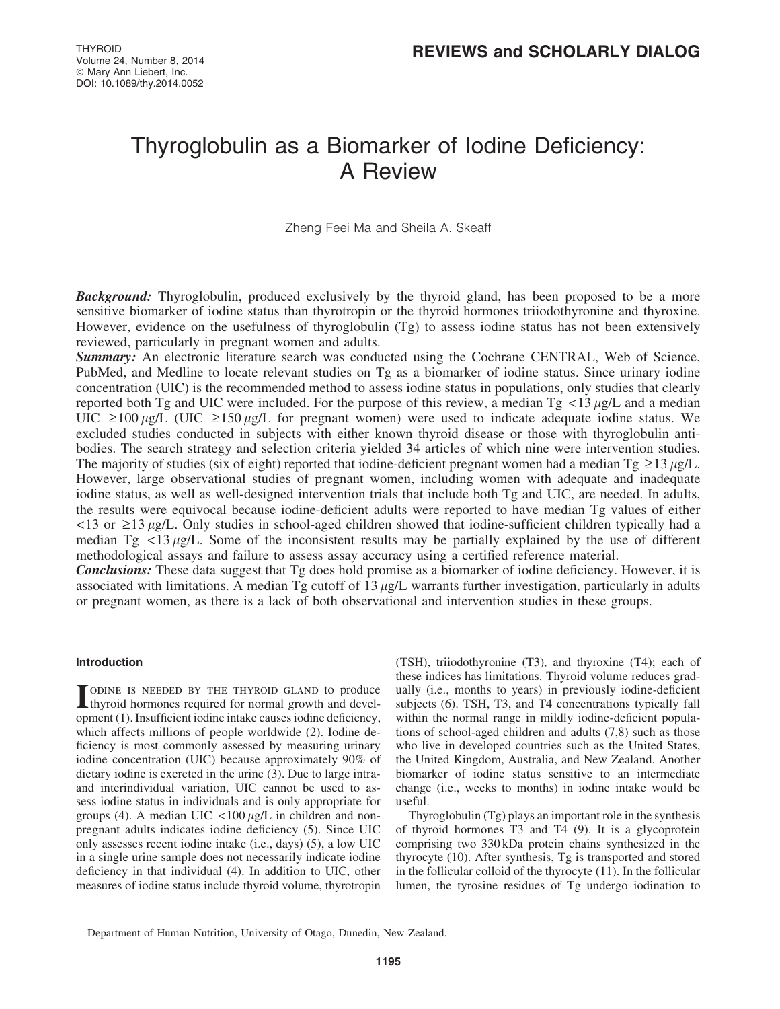## Thyroglobulin as a Biomarker of Iodine Deficiency: A Review

Zheng Feei Ma and Sheila A. Skeaff

**Background:** Thyroglobulin, produced exclusively by the thyroid gland, has been proposed to be a more sensitive biomarker of iodine status than thyrotropin or the thyroid hormones triiodothyronine and thyroxine. However, evidence on the usefulness of thyroglobulin (Tg) to assess iodine status has not been extensively reviewed, particularly in pregnant women and adults.

Summary: An electronic literature search was conducted using the Cochrane CENTRAL, Web of Science, PubMed, and Medline to locate relevant studies on Tg as a biomarker of iodine status. Since urinary iodine concentration (UIC) is the recommended method to assess iodine status in populations, only studies that clearly reported both Tg and UIC were included. For the purpose of this review, a median Tg  $\langle 13 \mu g/L \rangle$  and a median UIC  $\geq$ 100  $\mu$ g/L (UIC  $\geq$ 150  $\mu$ g/L for pregnant women) were used to indicate adequate iodine status. We excluded studies conducted in subjects with either known thyroid disease or those with thyroglobulin antibodies. The search strategy and selection criteria yielded 34 articles of which nine were intervention studies. The majority of studies (six of eight) reported that iodine-deficient pregnant women had a median  $Tg \ge 13 \mu g/L$ . However, large observational studies of pregnant women, including women with adequate and inadequate iodine status, as well as well-designed intervention trials that include both Tg and UIC, are needed. In adults, the results were equivocal because iodine-deficient adults were reported to have median Tg values of either  $\langle 13 \text{ or } \geq 13 \text{ }\mu\text{g/L}$ . Only studies in school-aged children showed that iodine-sufficient children typically had a median Tg  $\lt 13 \mu g/L$ . Some of the inconsistent results may be partially explained by the use of different methodological assays and failure to assess assay accuracy using a certified reference material.

**Conclusions:** These data suggest that Tg does hold promise as a biomarker of iodine deficiency. However, it is associated with limitations. A median Tg cutoff of  $13 \mu g/L$  warrants further investigation, particularly in adults or pregnant women, as there is a lack of both observational and intervention studies in these groups.

#### Introduction

I ODINE IS NEEDED BY THE THYROID GLAND to produce<br>thyroid hormones required for normal growth and development (1). Insufficient iodine intake causes iodine deficiency, which affects millions of people worldwide (2). Iodine deficiency is most commonly assessed by measuring urinary iodine concentration (UIC) because approximately 90% of dietary iodine is excreted in the urine (3). Due to large intraand interindividual variation, UIC cannot be used to assess iodine status in individuals and is only appropriate for groups (4). A median UIC  $\langle 100 \mu g/L \rangle$  in children and nonpregnant adults indicates iodine deficiency (5). Since UIC only assesses recent iodine intake (i.e., days) (5), a low UIC in a single urine sample does not necessarily indicate iodine deficiency in that individual (4). In addition to UIC, other measures of iodine status include thyroid volume, thyrotropin

(TSH), triiodothyronine (T3), and thyroxine (T4); each of these indices has limitations. Thyroid volume reduces gradually (i.e., months to years) in previously iodine-deficient subjects (6). TSH, T3, and T4 concentrations typically fall within the normal range in mildly iodine-deficient populations of school-aged children and adults (7,8) such as those who live in developed countries such as the United States, the United Kingdom, Australia, and New Zealand. Another biomarker of iodine status sensitive to an intermediate change (i.e., weeks to months) in iodine intake would be useful.

Thyroglobulin (Tg) plays an important role in the synthesis of thyroid hormones T3 and T4 (9). It is a glycoprotein comprising two 330 kDa protein chains synthesized in the thyrocyte (10). After synthesis, Tg is transported and stored in the follicular colloid of the thyrocyte (11). In the follicular lumen, the tyrosine residues of Tg undergo iodination to

Department of Human Nutrition, University of Otago, Dunedin, New Zealand.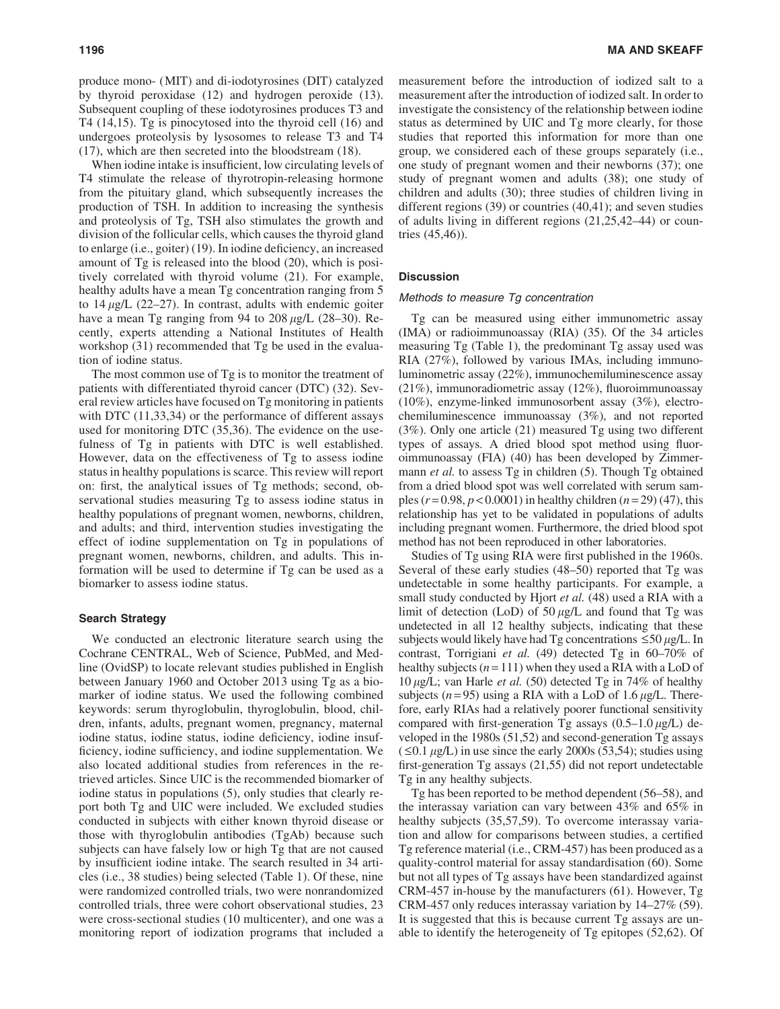produce mono- (MIT) and di-iodotyrosines (DIT) catalyzed by thyroid peroxidase (12) and hydrogen peroxide (13). Subsequent coupling of these iodotyrosines produces T3 and T4 (14,15). Tg is pinocytosed into the thyroid cell (16) and undergoes proteolysis by lysosomes to release T3 and T4 (17), which are then secreted into the bloodstream (18).

When iodine intake is insufficient, low circulating levels of T4 stimulate the release of thyrotropin-releasing hormone from the pituitary gland, which subsequently increases the production of TSH. In addition to increasing the synthesis and proteolysis of Tg, TSH also stimulates the growth and division of the follicular cells, which causes the thyroid gland to enlarge (i.e., goiter) (19). In iodine deficiency, an increased amount of Tg is released into the blood (20), which is positively correlated with thyroid volume (21). For example, healthy adults have a mean Tg concentration ranging from 5 to  $14 \mu g/L$  (22–27). In contrast, adults with endemic goiter have a mean Tg ranging from 94 to 208  $\mu$ g/L (28–30). Recently, experts attending a National Institutes of Health workshop (31) recommended that Tg be used in the evaluation of iodine status.

The most common use of Tg is to monitor the treatment of patients with differentiated thyroid cancer (DTC) (32). Several review articles have focused on Tg monitoring in patients with DTC  $(11,33,34)$  or the performance of different assays used for monitoring DTC (35,36). The evidence on the usefulness of Tg in patients with DTC is well established. However, data on the effectiveness of Tg to assess iodine status in healthy populations is scarce. This review will report on: first, the analytical issues of Tg methods; second, observational studies measuring Tg to assess iodine status in healthy populations of pregnant women, newborns, children, and adults; and third, intervention studies investigating the effect of iodine supplementation on Tg in populations of pregnant women, newborns, children, and adults. This information will be used to determine if Tg can be used as a biomarker to assess iodine status.

#### Search Strategy

We conducted an electronic literature search using the Cochrane CENTRAL, Web of Science, PubMed, and Medline (OvidSP) to locate relevant studies published in English between January 1960 and October 2013 using Tg as a biomarker of iodine status. We used the following combined keywords: serum thyroglobulin, thyroglobulin, blood, children, infants, adults, pregnant women, pregnancy, maternal iodine status, iodine status, iodine deficiency, iodine insufficiency, iodine sufficiency, and iodine supplementation. We also located additional studies from references in the retrieved articles. Since UIC is the recommended biomarker of iodine status in populations (5), only studies that clearly report both Tg and UIC were included. We excluded studies conducted in subjects with either known thyroid disease or those with thyroglobulin antibodies (TgAb) because such subjects can have falsely low or high Tg that are not caused by insufficient iodine intake. The search resulted in 34 articles (i.e., 38 studies) being selected (Table 1). Of these, nine were randomized controlled trials, two were nonrandomized controlled trials, three were cohort observational studies, 23 were cross-sectional studies (10 multicenter), and one was a monitoring report of iodization programs that included a measurement before the introduction of iodized salt to a measurement after the introduction of iodized salt. In order to investigate the consistency of the relationship between iodine status as determined by UIC and Tg more clearly, for those studies that reported this information for more than one group, we considered each of these groups separately (i.e., one study of pregnant women and their newborns (37); one study of pregnant women and adults (38); one study of children and adults (30); three studies of children living in different regions (39) or countries (40,41); and seven studies of adults living in different regions (21,25,42–44) or countries (45,46)).

#### **Discussion**

#### Methods to measure Tg concentration

Tg can be measured using either immunometric assay (IMA) or radioimmunoassay (RIA) (35). Of the 34 articles measuring Tg (Table 1), the predominant Tg assay used was RIA (27%), followed by various IMAs, including immunoluminometric assay (22%), immunochemiluminescence assay (21%), immunoradiometric assay (12%), fluoroimmunoassay (10%), enzyme-linked immunosorbent assay (3%), electrochemiluminescence immunoassay (3%), and not reported (3%). Only one article (21) measured Tg using two different types of assays. A dried blood spot method using fluoroimmunoassay (FIA) (40) has been developed by Zimmermann *et al.* to assess Tg in children (5). Though Tg obtained from a dried blood spot was well correlated with serum samples  $(r=0.98, p<0.0001)$  in healthy children  $(n=29)$  (47), this relationship has yet to be validated in populations of adults including pregnant women. Furthermore, the dried blood spot method has not been reproduced in other laboratories.

Studies of Tg using RIA were first published in the 1960s. Several of these early studies (48–50) reported that Tg was undetectable in some healthy participants. For example, a small study conducted by Hjort *et al.* (48) used a RIA with a limit of detection (LoD) of  $50 \mu g/L$  and found that Tg was undetected in all 12 healthy subjects, indicating that these subjects would likely have had Tg concentrations  $\leq$ 50  $\mu$ g/L. In contrast, Torrigiani *et al.* (49) detected Tg in 60–70% of healthy subjects  $(n=111)$  when they used a RIA with a LoD of  $10 \mu g/L$ ; van Harle *et al.* (50) detected Tg in 74% of healthy subjects  $(n=95)$  using a RIA with a LoD of 1.6  $\mu$ g/L. Therefore, early RIAs had a relatively poorer functional sensitivity compared with first-generation Tg assays  $(0.5-1.0 \mu g/L)$  developed in the 1980s (51,52) and second-generation Tg assays  $( \leq 0.1 \mu g/L)$  in use since the early 2000s (53,54); studies using first-generation Tg assays (21,55) did not report undetectable Tg in any healthy subjects.

Tg has been reported to be method dependent (56–58), and the interassay variation can vary between 43% and 65% in healthy subjects (35,57,59). To overcome interassay variation and allow for comparisons between studies, a certified Tg reference material (i.e., CRM-457) has been produced as a quality-control material for assay standardisation (60). Some but not all types of Tg assays have been standardized against CRM-457 in-house by the manufacturers (61). However, Tg CRM-457 only reduces interassay variation by 14–27% (59). It is suggested that this is because current Tg assays are unable to identify the heterogeneity of Tg epitopes (52,62). Of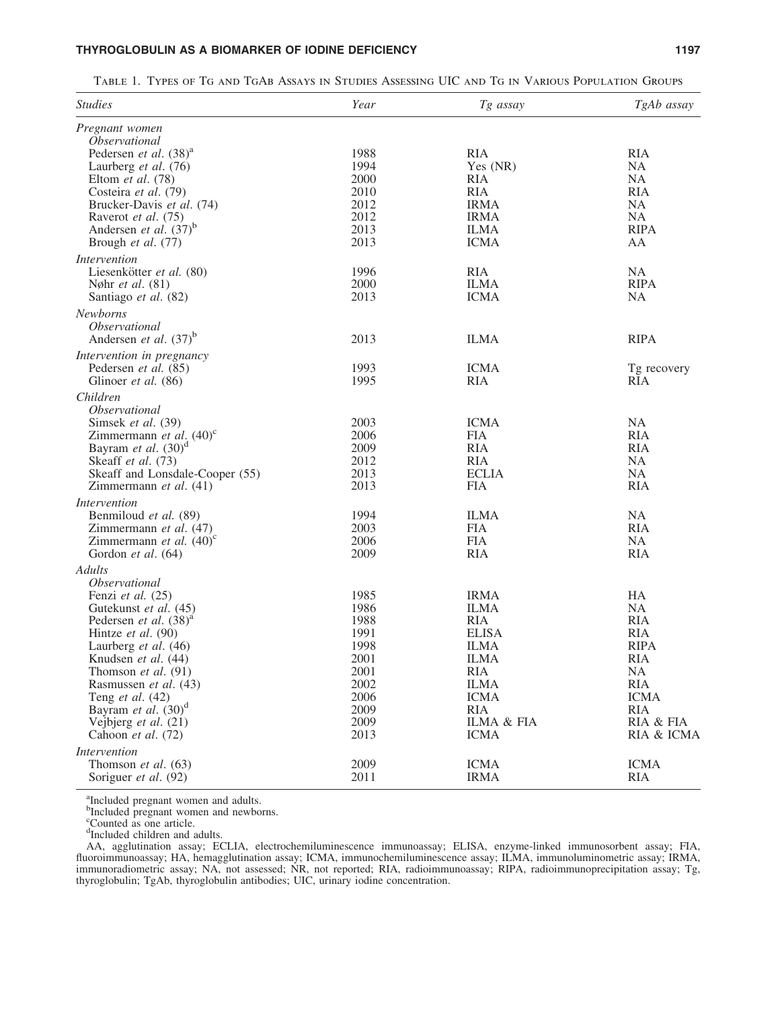### THYROGLOBULIN AS A BIOMARKER OF IODINE DEFICIENCY **1197** 1197

Table 1. Types of Tg and TgAb Assays in Studies Assessing UIC and Tg in Various Population Groups

| <i><u><b>Studies</b></u></i>           | Year | Tg assay     | TgAb assay  |
|----------------------------------------|------|--------------|-------------|
| Pregnant women<br><i>Observational</i> |      |              |             |
| Pedersen et al. $(38)^{a}$             | 1988 | <b>RIA</b>   | <b>RIA</b>  |
| Laurberg et al. (76)                   | 1994 | Yes (NR)     | NA          |
|                                        | 2000 |              | NA          |
| Eltom et al. (78)                      |      | RIA          |             |
| Costeira et al. (79)                   | 2010 | RIA          | <b>RIA</b>  |
| Brucker-Davis et al. (74)              | 2012 | <b>IRMA</b>  | NA          |
| Raverot et al. (75)                    | 2012 | <b>IRMA</b>  | NA          |
| Andersen et al. $(37)^b$               | 2013 | <b>ILMA</b>  | <b>RIPA</b> |
| Brough et al. (77)                     | 2013 | <b>ICMA</b>  | AA          |
| <i>Intervention</i>                    |      |              |             |
| Liesenkötter et al. (80)               | 1996 | <b>RIA</b>   | NA          |
| Nøhr <i>et al.</i> (81)                | 2000 | <b>ILMA</b>  | <b>RIPA</b> |
| Santiago et al. (82)                   | 2013 | <b>ICMA</b>  | NA          |
| Newborns                               |      |              |             |
| <i>Observational</i>                   |      |              |             |
| Andersen et al. $(37)^b$               | 2013 | <b>ILMA</b>  | <b>RIPA</b> |
| Intervention in pregnancy              |      |              |             |
| Pedersen et al. (85)                   | 1993 | <b>ICMA</b>  | Tg recovery |
| Glinoer et al. (86)                    | 1995 | RIA          | RIA         |
| Children                               |      |              |             |
| <i><b>Observational</b></i>            |      |              |             |
| Simsek et al. (39)                     | 2003 | <b>ICMA</b>  | NA          |
| Zimmermann et al. $(40)^c$             | 2006 | FIA          | <b>RIA</b>  |
| Bayram et al. $(30)^d$                 | 2009 | <b>RIA</b>   | <b>RIA</b>  |
| Skeaff et al. (73)                     | 2012 | <b>RIA</b>   | NA          |
| Skeaff and Lonsdale-Cooper (55)        | 2013 | <b>ECLIA</b> | NA          |
| Zimmermann et al. (41)                 | 2013 | <b>FIA</b>   | <b>RIA</b>  |
| <i>Intervention</i>                    |      |              |             |
| Benmiloud et al. (89)                  | 1994 | <b>ILMA</b>  | NA          |
| Zimmermann et al. (47)                 | 2003 | FIA          | <b>RIA</b>  |
| Zimmermann et al. $(40)^c$             | 2006 | <b>FIA</b>   | NA          |
| Gordon et al. (64)                     | 2009 | <b>RIA</b>   | <b>RIA</b>  |
| Adults                                 |      |              |             |
| <i>Observational</i>                   |      |              |             |
| Fenzi et al. (25)                      | 1985 | <b>IRMA</b>  | HA          |
| Gutekunst et al. (45)                  | 1986 | <b>ILMA</b>  | NA          |
| Pedersen et al. $(38)^{a}$             | 1988 | RIA          | RIA         |
| Hintze et al. (90)                     | 1991 | <b>ELISA</b> | <b>RIA</b>  |
| Laurberg et al. (46)                   | 1998 | <b>ILMA</b>  | <b>RIPA</b> |
| Knudsen et al. (44)                    | 2001 | <b>ILMA</b>  | <b>RIA</b>  |
| Thomson et al. $(91)$                  | 2001 | <b>RIA</b>   | NA          |
| Rasmussen et al. (43)                  | 2002 | <b>ILMA</b>  | <b>RIA</b>  |
|                                        | 2006 | <b>ICMA</b>  | <b>ICMA</b> |
| Teng et al. $(42)$                     |      |              |             |
| Bayram et al. (30) <sup>d</sup>        | 2009 | <b>RIA</b>   | <b>RIA</b>  |
| Vejbjerg et al. (21)                   | 2009 | ILMA & FIA   | RIA & FIA   |
| Cahoon et al. (72)                     | 2013 | <b>ICMA</b>  | RIA & ICMA  |
| <i>Intervention</i>                    |      |              |             |
| Thomson et al. (63)                    | 2009 | <b>ICMA</b>  | <b>ICMA</b> |
| Soriguer et al. (92)                   | 2011 | <b>IRMA</b>  | <b>RIA</b>  |

<sup>a</sup>Included pregnant women and adults.<br><sup>b</sup>Included pregnant women and newborns.<br><sup>c</sup>Counted as one article.<br><sup>d</sup>Included children and adults.

AA, agglutination assay; ECLIA, electrochemiluminescence immunoassay; ELISA, enzyme-linked immunosorbent assay; FIA, fluoroimmunoassay; HA, hemagglutination assay; ICMA, immunochemiluminescence assay; ILMA, immunoluminometric assay; IRMA, immunoradiometric assay; NA, not assessed; NR, not reported; RIA, radioimmunoassay; RIPA, radioimmunoprecipitation assay; Tg, thyroglobulin; TgAb, thyroglobulin antibodies; UIC, urinary iodine concentration.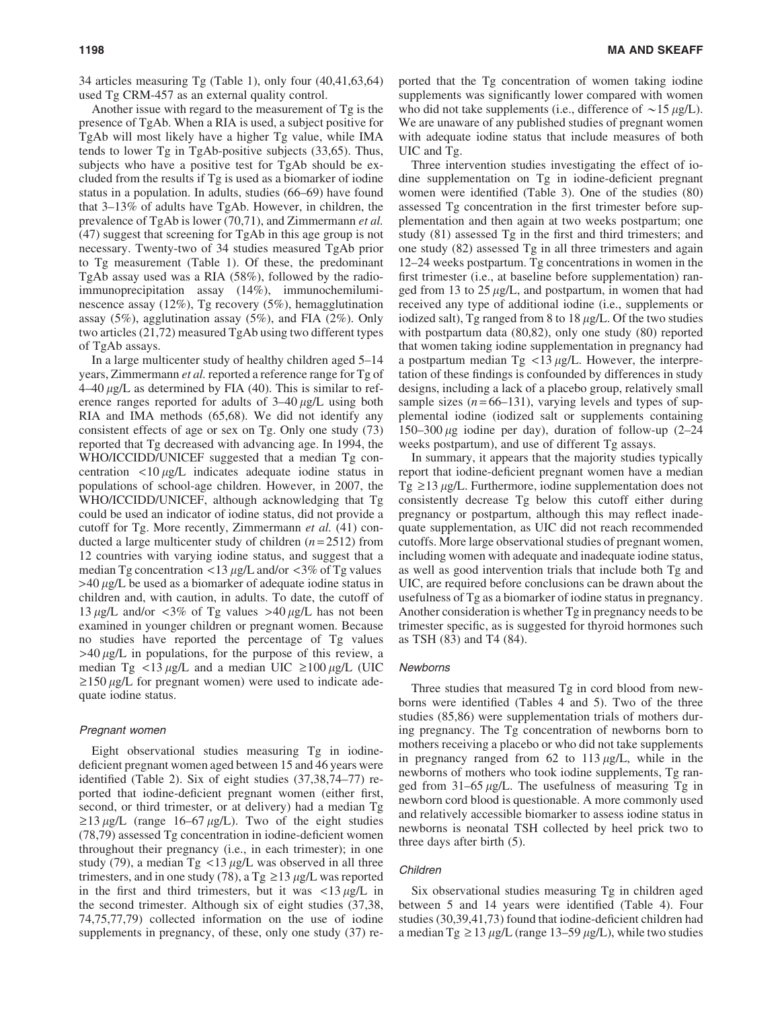Another issue with regard to the measurement of Tg is the presence of TgAb. When a RIA is used, a subject positive for TgAb will most likely have a higher Tg value, while IMA tends to lower Tg in TgAb-positive subjects (33,65). Thus, subjects who have a positive test for TgAb should be excluded from the results if Tg is used as a biomarker of iodine status in a population. In adults, studies (66–69) have found that 3–13% of adults have TgAb. However, in children, the prevalence of TgAb is lower (70,71), and Zimmermann *et al.* (47) suggest that screening for TgAb in this age group is not necessary. Twenty-two of 34 studies measured TgAb prior to Tg measurement (Table 1). Of these, the predominant TgAb assay used was a RIA (58%), followed by the radioimmunoprecipitation assay (14%), immunochemiluminescence assay (12%), Tg recovery (5%), hemagglutination assay (5%), agglutination assay (5%), and FIA (2%). Only two articles (21,72) measured TgAb using two different types of TgAb assays.

In a large multicenter study of healthy children aged 5–14 years, Zimmermann *et al.* reported a reference range for Tg of  $4-40 \mu g/L$  as determined by FIA (40). This is similar to reference ranges reported for adults of  $3-40 \mu g/L$  using both RIA and IMA methods (65,68). We did not identify any consistent effects of age or sex on Tg. Only one study (73) reported that Tg decreased with advancing age. In 1994, the WHO/ICCIDD/UNICEF suggested that a median Tg concentration  $\langle 10 \mu g/L \rangle$  indicates adequate iodine status in populations of school-age children. However, in 2007, the WHO/ICCIDD/UNICEF, although acknowledging that Tg could be used an indicator of iodine status, did not provide a cutoff for Tg. More recently, Zimmermann *et al.* (41) conducted a large multicenter study of children  $(n=2512)$  from 12 countries with varying iodine status, and suggest that a median Tg concentration  $\langle 13 \mu g/L \rangle$  and/or  $\langle 3\% \rangle$  of Tg values  $>40 \mu g/L$  be used as a biomarker of adequate iodine status in children and, with caution, in adults. To date, the cutoff of 13  $\mu$ g/L and/or <3% of Tg values >40  $\mu$ g/L has not been examined in younger children or pregnant women. Because no studies have reported the percentage of Tg values  $>40 \mu g/L$  in populations, for the purpose of this review, a median Tg  $\langle 13 \mu g/L \rangle$  and a median UIC  $\geq 100 \mu g/L$  (UIC  $\geq$ 150 µg/L for pregnant women) were used to indicate adequate iodine status.

#### Pregnant women

Eight observational studies measuring Tg in iodinedeficient pregnant women aged between 15 and 46 years were identified (Table 2). Six of eight studies (37,38,74–77) reported that iodine-deficient pregnant women (either first, second, or third trimester, or at delivery) had a median Tg  $\geq$ 13 µg/L (range 16–67 µg/L). Two of the eight studies (78,79) assessed Tg concentration in iodine-deficient women throughout their pregnancy (i.e., in each trimester); in one study (79), a median Tg  $\langle 13 \mu g/L \rangle$  was observed in all three trimesters, and in one study (78), a Tg  $\geq$  13  $\mu$ g/L was reported in the first and third trimesters, but it was  $\langle 13 \mu g/L \rangle$  in the second trimester. Although six of eight studies (37,38, 74,75,77,79) collected information on the use of iodine supplements in pregnancy, of these, only one study (37) reported that the Tg concentration of women taking iodine supplements was significantly lower compared with women who did not take supplements (i.e., difference of  $\sim$ 15  $\mu$ g/L). We are unaware of any published studies of pregnant women with adequate iodine status that include measures of both UIC and Tg.

Three intervention studies investigating the effect of iodine supplementation on Tg in iodine-deficient pregnant women were identified (Table 3). One of the studies (80) assessed Tg concentration in the first trimester before supplementation and then again at two weeks postpartum; one study (81) assessed Tg in the first and third trimesters; and one study (82) assessed Tg in all three trimesters and again 12–24 weeks postpartum. Tg concentrations in women in the first trimester (i.e., at baseline before supplementation) ranged from 13 to  $25 \mu g/L$ , and postpartum, in women that had received any type of additional iodine (i.e., supplements or iodized salt), Tg ranged from 8 to 18  $\mu$ g/L. Of the two studies with postpartum data (80,82), only one study (80) reported that women taking iodine supplementation in pregnancy had a postpartum median Tg  $<$ 13  $\mu$ g/L. However, the interpretation of these findings is confounded by differences in study designs, including a lack of a placebo group, relatively small sample sizes  $(n=66-131)$ , varying levels and types of supplemental iodine (iodized salt or supplements containing 150–300  $\mu$ g iodine per day), duration of follow-up (2–24 weeks postpartum), and use of different Tg assays.

In summary, it appears that the majority studies typically report that iodine-deficient pregnant women have a median  $Tg \ge 13 \mu g/L$ . Furthermore, iodine supplementation does not consistently decrease Tg below this cutoff either during pregnancy or postpartum, although this may reflect inadequate supplementation, as UIC did not reach recommended cutoffs. More large observational studies of pregnant women, including women with adequate and inadequate iodine status, as well as good intervention trials that include both Tg and UIC, are required before conclusions can be drawn about the usefulness of Tg as a biomarker of iodine status in pregnancy. Another consideration is whether Tg in pregnancy needs to be trimester specific, as is suggested for thyroid hormones such as TSH (83) and T4 (84).

#### Newborns

Three studies that measured Tg in cord blood from newborns were identified (Tables 4 and 5). Two of the three studies (85,86) were supplementation trials of mothers during pregnancy. The Tg concentration of newborns born to mothers receiving a placebo or who did not take supplements in pregnancy ranged from  $62$  to  $113 \mu g/L$ , while in the newborns of mothers who took iodine supplements, Tg ranged from  $31-65 \mu g/L$ . The usefulness of measuring Tg in newborn cord blood is questionable. A more commonly used and relatively accessible biomarker to assess iodine status in newborns is neonatal TSH collected by heel prick two to three days after birth (5).

#### Children

Six observational studies measuring Tg in children aged between 5 and 14 years were identified (Table 4). Four studies (30,39,41,73) found that iodine-deficient children had a median Tg  $\geq$  13  $\mu$ g/L (range 13–59  $\mu$ g/L), while two studies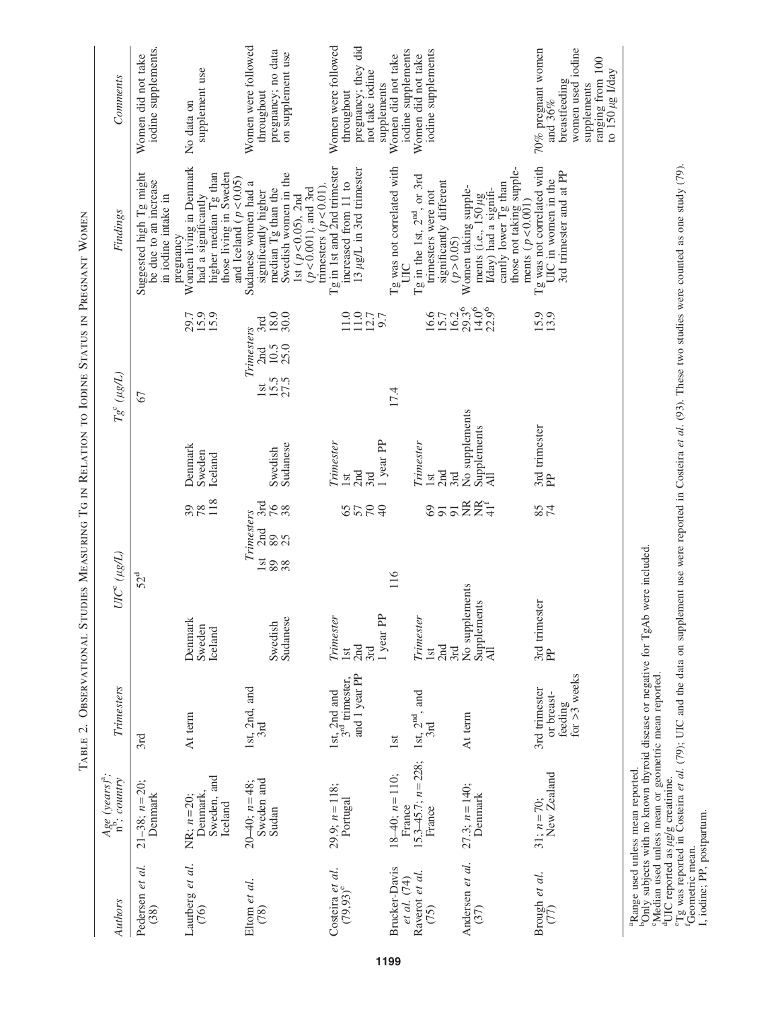|                                                        |                                                                        |                                                          | TABLE 2. OBSERVATIONAL STUDIES MEASURING TG IN RELATION TO IODINE STATUS IN PREGNANT WOMEN |                                      |                                            |                                                                                     |                                                                                                                                                                                |                                                                                                           |
|--------------------------------------------------------|------------------------------------------------------------------------|----------------------------------------------------------|--------------------------------------------------------------------------------------------|--------------------------------------|--------------------------------------------|-------------------------------------------------------------------------------------|--------------------------------------------------------------------------------------------------------------------------------------------------------------------------------|-----------------------------------------------------------------------------------------------------------|
| Authors                                                | $Age (years)^{a}$ ; country                                            | <b>Trimesters</b>                                        | $UIC^{c}$ ( $\mu g/L$ )                                                                    |                                      |                                            | $Tg^\mathrm{c}\,(\mu g/L)$                                                          | Findings                                                                                                                                                                       | Comments                                                                                                  |
| Pedersen et al.<br>(38)                                | $21-38$ ; $n=20$ ;<br>Denmark                                          | 3rd                                                      | 52 <sup>d</sup>                                                                            |                                      |                                            | 67                                                                                  | Suggested high Tg might<br>be due to an increase<br>in iodine intake in                                                                                                        | iodine supplements.<br>Women did not take                                                                 |
| Laurberg et al.<br>(76)                                | Sweden, and<br>Denmark,<br>$NR; n=20;$<br>Iceland                      | At term                                                  | Denmark<br>Sweden<br>Iceland                                                               | 118<br>38                            | Denmark<br>Sweden<br>Iceland               | 15.9<br>29.7                                                                        | Women living in Denmark<br>those living in Sweden<br>higher median Tg than<br>had a significantly<br>pregnancy                                                                 | supplement use<br>No data on                                                                              |
| Eltom et al.<br>(78)                                   | Sweden and<br>20–40; $n=48$ ;<br>Sudan                                 | 1st, 2nd, and<br>3rd                                     | <b>lst</b><br>89<br>38<br>Sudanese<br>Swedish                                              | 3rd<br>76<br>Trimesters<br>2nd<br>89 | Sudanese<br>Swedish                        | 18.0<br>30.0<br>3rd<br>Trimesters<br>$10.5$<br>25.0<br>2nd<br>$15.5$<br>27.5<br>lst | Swedish women in the<br>and Iceland ( $p < 0.05$ )<br>Sudanese women had a<br>$(p < 0.001)$ , and 3rd<br>median Tg than the<br>significantly higher<br>1st ( $p < 0.05$ ), 2nd | Women were followed<br>pregnancy; no data<br>on supplement use<br>throughout                              |
| Costeira et al.<br>$(79,93)^e$                         | 29.9; $n = 118$ ;<br>Portugal                                          | and 1 year PP<br>1st, $2nd$ and $3rd$ trimester,         | Trimester<br>2nd<br><b>Ist</b><br>3rd                                                      | 8224                                 | Trimester<br>2nd<br>1st<br>3rd             | $\frac{11.0}{12.7}$<br>1.0                                                          | Tg in 1st and 2nd trimester<br>13 $\mu$ g/L in 3rd trimester<br>increased from 11 to<br>trimesters ( $p < 0.01$ ).                                                             | Women were followed<br>pregnancy; they did<br>not take iodine<br>throughout                               |
| Brucker-Davis<br>Raverot et al.<br>et al. (74)<br>(75) | $15.3 - 45.7$ ; $n = 228$ ;<br>$18-40$ ; $n=110$ ;<br>France<br>France | 1st, $2nd$ , and<br>3rd<br>1 <sub>st</sub>               | 116<br>1 year PP<br>Trimester<br>2nd<br>Ist                                                | $\overline{5}$<br>69                 | 1 year PP<br>Trimester<br>2nd<br>Ist       | $16.7$<br>$16.2%$<br>$16.3%$<br>17.4                                                | Tg was not correlated with<br>Tg in the 1st, $2^{\text{nd}}$ , or 3rd<br>significantly different<br>trimesters were not<br>UIC                                                 | iodine supplements<br>iodine supplements<br>Women did not take<br>Women did not take<br>supplements       |
| Andersen et al.<br>(37)                                | $27.3; n = 140;$<br>Denmark                                            | At term                                                  | No supplements<br>Supplements<br>All<br>3rd                                                | <b>医爱生</b>                           | No supplements<br>Supplements<br>3rd<br>ΈA | $14.0^6$<br>$22.9^{6}$                                                              | those not taking supple-<br>cantly lower Tg than<br>Women taking supple-<br>I/day) had a signifi-<br>ments (i.e., $150 \mu$ g<br>(p > 0.05)                                    |                                                                                                           |
| Brough et al.<br>$(77)$                                | $31; n = 70;$<br>New Zealand                                           | feeding<br>for $>3$ weeks<br>3rd trimester<br>or breast- | 3rd trimester<br>$\mathbb{R}$                                                              | 85<br>$\overline{7}$                 | 3rd trimester<br><b>PH</b>                 | 15.9<br>13.9                                                                        | Tg was not correlated with<br>3rd trimester and at PP<br>UIC in women in the<br>ments $(p < 0.001)$                                                                            | $70\%$ pregnant women and $36\%$<br>women used iodine<br>ranging from 100<br>breastfeeding<br>supplements |
|                                                        | <sup>a</sup> Range used unless mean reported                           |                                                          |                                                                                            |                                      |                                            |                                                                                     |                                                                                                                                                                                | to $150 \mu g$ I/day                                                                                      |

aRange used unless mean reported.

bOnly subjects with no known thyroid disease or negative for TgAb were included.

Median used unless mean or geometric mean reported.

Tange used unless mean reported.<br>
"Nange used unless mean to provid disease or negative for TgAb were included.<br>
"Nedhy subjects with no known thyroid disease or negative for TgAb were included.<br>
"The creported as *µglg* c <sup>4</sup>UIC reported as *uglg* creatinine.<br>"Ig was reported in Costeira *et al.* (79); UIC and the data on supplement use were reported in Costeira *et al.* (93). These two studies were counted as one study (79).<br>Geometric mean

I, iodine; PP, postpartum.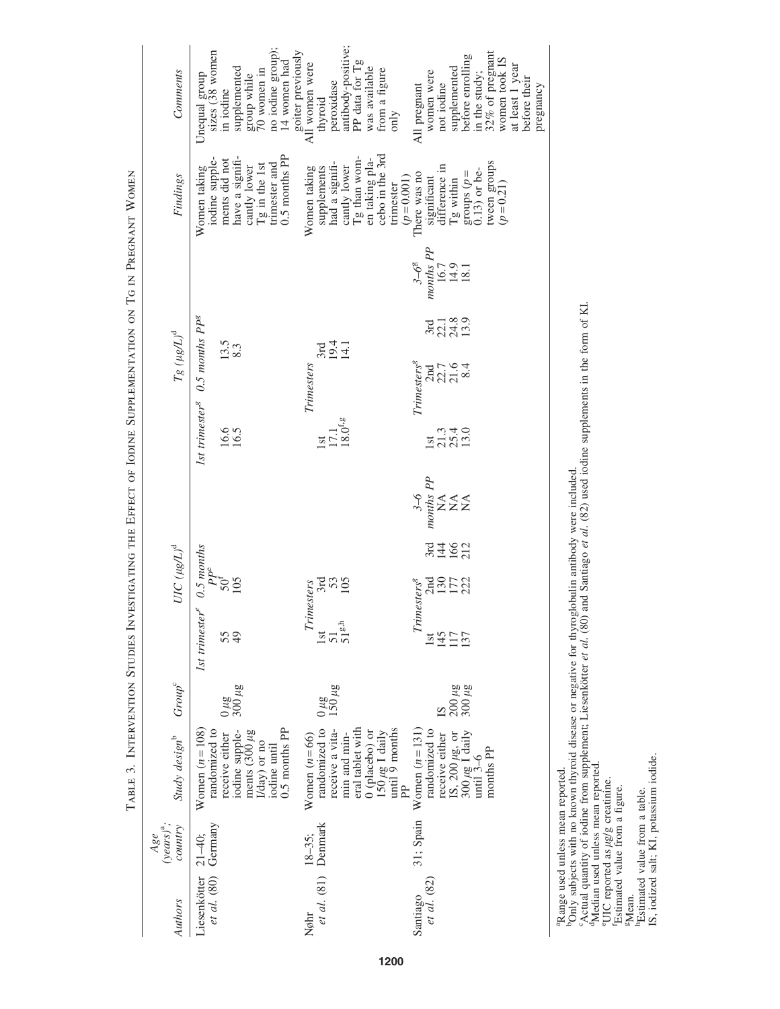TABLE 3. INTERVENTION STUDIES INVESTIGATING THE EFFECT OF IODINE SUPPLEMENTATION ON TG IN PREGNANT WOMEN Table 3. Intervention Studies Investigating the Effect of Iodine Supplementation on Tg in Pregnant Women

| Comments                          | Unequal group<br>sizes (38 women                                      | in iodine                     | supplemented                           | group while<br>70 women in    |              | no iodine group); | 14 women had  | goiter previously<br>All women were | thyroid             | peroxidase                     | antibody-positive; | PP data for Tg   | was available | from a figure                                           | only      |             | All pregnant                                                                                                                                                                                                                                                                                                                                                                                                                    | women were                                                        | not iodine                 | supplemented | before enrolling                                          | in the study; | 32% of pregnant            | women took IS | at least 1 year | before their | pregnancy |
|-----------------------------------|-----------------------------------------------------------------------|-------------------------------|----------------------------------------|-------------------------------|--------------|-------------------|---------------|-------------------------------------|---------------------|--------------------------------|--------------------|------------------|---------------|---------------------------------------------------------|-----------|-------------|---------------------------------------------------------------------------------------------------------------------------------------------------------------------------------------------------------------------------------------------------------------------------------------------------------------------------------------------------------------------------------------------------------------------------------|-------------------------------------------------------------------|----------------------------|--------------|-----------------------------------------------------------|---------------|----------------------------|---------------|-----------------|--------------|-----------|
| Findings                          | iodine supple-<br>Women taking                                        | ments did not                 | have a signifi-                        | cantly lower<br>Tg in the 1st |              | trimester and     | 0.5 months PP | Women taking                        | supplements         | had a signifi-<br>cantly lower |                    | Tg than wom-     |               | en taking pla-<br>cebo in the 3rd                       | trimester | $(p=0.001)$ | There was no                                                                                                                                                                                                                                                                                                                                                                                                                    | significant<br>difference in                                      |                            | Tg within    | groups $(p=0.13)$ or be-                                  |               | tween groups<br>$(p=0.21)$ |               |                 |              |           |
|                                   |                                                                       |                               |                                        |                               |              |                   |               |                                     |                     |                                |                    |                  |               |                                                         |           |             | $3 - 6^8$                                                                                                                                                                                                                                                                                                                                                                                                                       | $\begin{array}{c}\n\text{months PP} \\ 16.7 \\ 14.9\n\end{array}$ |                            |              | 18.1                                                      |               |                            |               |                 |              |           |
|                                   |                                                                       | $\frac{13.5}{8.3}$            |                                        |                               |              |                   |               |                                     | 3rd                 | 19.4<br>14.1                   |                    |                  |               |                                                         |           |             |                                                                                                                                                                                                                                                                                                                                                                                                                                 | 3rd                                                               | 22.1<br>24.8<br>13.9       |              |                                                           |               |                            |               |                 |              |           |
| $Tg~(\mu g/L)^{\rm d}$            | 1st trimester <sup>g</sup> $0.5$ months $PPg$                         |                               |                                        |                               |              |                   |               | Trimesters                          |                     |                                |                    |                  |               |                                                         |           |             | <i>Trimesters</i> <sup>8</sup>                                                                                                                                                                                                                                                                                                                                                                                                  | 2n7<br>22.76<br>21.64                                             |                            |              |                                                           |               |                            |               |                 |              |           |
|                                   |                                                                       | 16.6<br>16.5                  |                                        |                               |              |                   |               |                                     | Lst                 | $17.1$<br>$18.0^{f,g}$         |                    |                  |               |                                                         |           |             |                                                                                                                                                                                                                                                                                                                                                                                                                                 | <b>Ist</b>                                                        | $21.3$<br>$25.4$<br>$13.0$ |              |                                                           |               |                            |               |                 |              |           |
|                                   |                                                                       |                               |                                        |                               |              |                   |               |                                     |                     |                                |                    |                  |               |                                                         |           |             | $\begin{array}{c}\n 3\text{-}6 \\  \text{1001} \\  \text{1100} \\  \text{1100} \\  \text{120} \\  \text{130} \\  \text{140} \\  \text{150} \\  \text{160} \\  \text{170} \\  \text{180} \\  \text{190} \\  \text{100} \\  \text{100} \\  \text{100} \\  \text{110} \\  \text{120} \\  \text{130} \\  \text{160} \\  \text{180} \\  \text{190} \\  \text{190} \\  \text{190} \\  \text{190} \\  \text{190} \\  \text{190} \\  \$ |                                                                   |                            |              |                                                           |               |                            |               |                 |              |           |
|                                   |                                                                       |                               |                                        |                               |              |                   |               |                                     |                     |                                |                    |                  |               |                                                         |           |             |                                                                                                                                                                                                                                                                                                                                                                                                                                 | 3122                                                              |                            |              |                                                           |               |                            |               |                 |              |           |
| $UIC~(\mu g/L)^{\rm d}$           |                                                                       |                               |                                        |                               |              |                   |               | Trimesters                          |                     | ដូងខ្ន                         |                    |                  |               |                                                         |           |             | Trimesters <sup>8</sup>                                                                                                                                                                                                                                                                                                                                                                                                         | <b>AREN</b><br>2017                                               |                            |              |                                                           |               |                            |               |                 |              |           |
|                                   | 1st trimester <sup>e</sup> 0.5 months<br>55 $50^{\text{F}}$<br>49 105 |                               |                                        |                               |              |                   |               |                                     | lst                 | $\frac{51}{51}$ <sup>8,h</sup> |                    |                  |               |                                                         |           |             |                                                                                                                                                                                                                                                                                                                                                                                                                                 | lst                                                               | 145                        |              | 137                                                       |               |                            |               |                 |              |           |
| Group <sup>c</sup>                |                                                                       | $\frac{300 \mu g}{300 \mu g}$ |                                        |                               |              |                   |               |                                     |                     | $\frac{0 \mu g}{150 \mu g}$    |                    |                  |               |                                                         |           |             |                                                                                                                                                                                                                                                                                                                                                                                                                                 |                                                                   |                            |              | $\frac{200 \mu g}{300 \mu g}$                             |               |                            |               |                 |              |           |
| Study design <sup>b</sup>         | Women $(n = 108)$<br>randomized to                                    | receive either                | iodine supple-<br>ments $(300 \,\mu g$ |                               | (/day) or no | iodine until      | 0.5 months PP | Women $(n=66)$                      | randomized to       | receive a vita-                | min and min-       | eral tablet with |               | 0 (placebo) or<br>$150 \mu g$ I daily<br>until 9 months |           |             | Women $(n=131)$                                                                                                                                                                                                                                                                                                                                                                                                                 | randomized to                                                     | receive either             |              | IS, $200 \mu$ g, or<br>$300 \mu$ g I daily<br>until $3-6$ |               | months PP                  |               |                 |              |           |
| $(years)^{a}$ ;<br>country<br>Age |                                                                       |                               |                                        |                               |              |                   |               | $18 - 35$ ;                         |                     |                                |                    |                  |               |                                                         |           |             | 31; Spain                                                                                                                                                                                                                                                                                                                                                                                                                       |                                                                   |                            |              |                                                           |               |                            |               |                 |              |           |
| Authors                           | esenkötter $21-40$ ;<br><i>et al.</i> (80) Germany<br>Liesenkötter    |                               |                                        |                               |              |                   |               | Nøhr                                | et al. (81) Denmark |                                |                    |                  |               |                                                         |           |             | Santiago<br>$et \ al. \ (82)$                                                                                                                                                                                                                                                                                                                                                                                                   |                                                                   |                            |              |                                                           |               |                            |               |                 |              |           |

aRange used unless mean reported.

bOnly subjects with no known thyroid disease or negative for thyroglobulin antibody were included. <sup>9</sup>Range used unless mean reported.<br><sup>b</sup>Only subjects with no known thyroid disease or negative for thyroglobulin antibody were included.<br><sup>6</sup>Actual quantity of iodine from supplement; Liesenkötter *et al.* (80) and Santiag

cActual quantity of iodine from supplement; Liesenkötter *et al.* (80) and Santiago *et al.* (82) used iodine supplements in the form of KI. <sup>d</sup>Median used unless mean reported.

eUIC reported as lg/g creatinine. fEstimated value from a figure.

hEstimated value from a table.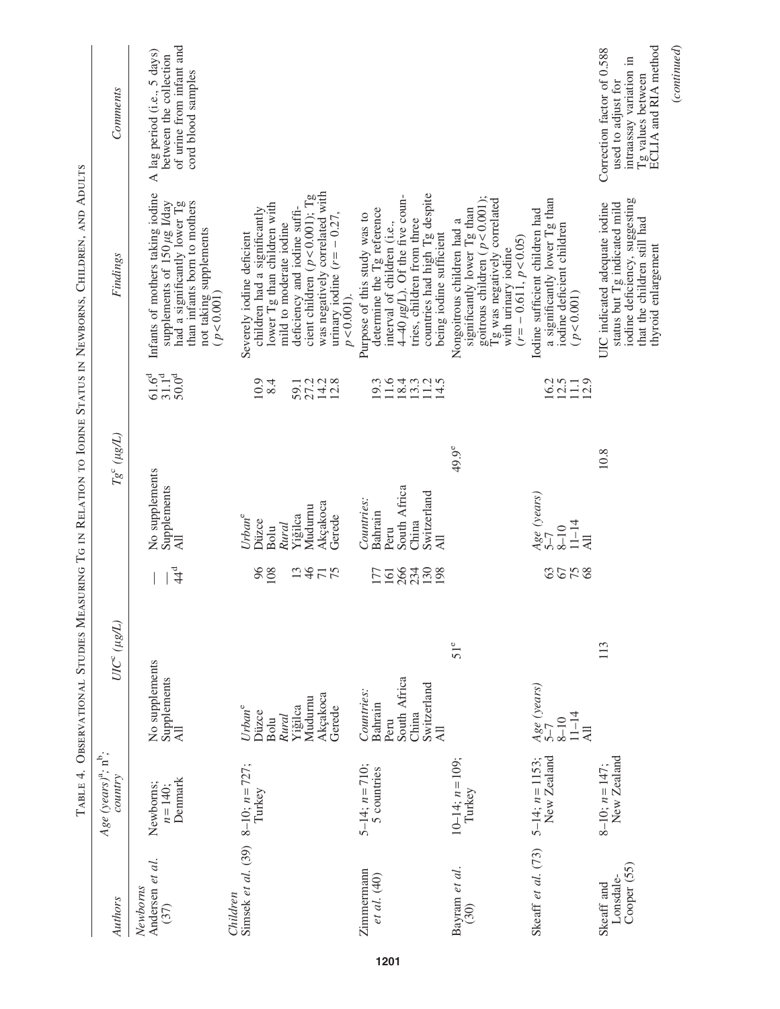|                                        | TABLE 4.                                        |                                                                                          |                    |                       |                                                                                         |                      |                                                      | OBSERVATIONAL STUDIES MEASURING TG IN RELATION TO IODINE STATUS IN NEWBORNS, CHILDREN, AND ADULTS                                                                                                                                                                             |                                                                                                                          |
|----------------------------------------|-------------------------------------------------|------------------------------------------------------------------------------------------|--------------------|-----------------------|-----------------------------------------------------------------------------------------|----------------------|------------------------------------------------------|-------------------------------------------------------------------------------------------------------------------------------------------------------------------------------------------------------------------------------------------------------------------------------|--------------------------------------------------------------------------------------------------------------------------|
| Authors                                | $Age (years)^{a}$ ; n <sup>b</sup> ;<br>country |                                                                                          | $UIC^{c}(\mu g/L)$ |                       |                                                                                         | $Tg^c$ ( $\mu g/L$ ) |                                                      | Findings                                                                                                                                                                                                                                                                      | Comments                                                                                                                 |
| Andersen et al.<br>Newborns<br>(37)    | Denmark<br>Newborns;<br>$n = 140$ ;             | No supplements<br>Supplements<br>ΈΑ                                                      |                    | $44^{\circ}$          | No supplements<br>Supplements<br>ΈÁ                                                     |                      | $31.1^{\rm d}$<br>$61.6^{d}$<br>$50.0^{\rm d}$       | Infants of mothers taking iodine<br>supplements of 150 µg I/day<br>had a significantly lower Tg<br>than infants born to mothers<br>not taking supplements<br>$(p < 0.001)$                                                                                                    | of urine from infant and<br>A lag period (i.e., 5 days)<br>between the collection<br>cord blood samples                  |
| Simsek et al. (39)<br>Children         | $8-10$ ; $n=727$ ;<br>Turkey                    | Akçakoca<br>Mudurnu<br>Yiğilca<br>Urban <sup>e</sup><br>Gerede<br>Düzce<br>Rural<br>Bolu |                    | 96<br>46<br>71<br>108 | Akçakoca<br>Mudumu<br>Yiğilca<br>Urban <sup>e</sup><br>Gerede<br>Düzce<br>Rural<br>Bolu |                      | 10.9<br>8.4<br>$27.2$<br>$14.3$<br>$12.8$<br>59.1    | was negatively correlated with<br>cient children ( $p < 0.001$ ); Tg<br>lower Tg than children with<br>deficiency and iodine suffi-<br>children had a significantly<br>urinary iodine $(r = -0.27,$<br>mild to moderate iodine<br>Severely iodine deficient<br>$p < 0.001$ ). |                                                                                                                          |
| Zimmermann<br>et al. (40)              | $5-14$ ; $n=710$ ;<br>5 countries               | South Africa<br>Switzerland<br>Countries:<br>Bahrain<br>China<br>Peru<br>All             |                    | <b>FESSES</b>         | South Africa<br>Switzerland<br>Countries:<br>Bahrain<br>China<br>Peru<br><b>All</b>     |                      | 11.6<br>$18.4$<br>$19.2$<br>$14.5$<br>$14.5$<br>19.3 | countries had high Tg despite<br>$4-40 \mu g/L$ ). Of the five coun-<br>determine the Tg reference<br>Purpose of this study was to<br>tries, children from three<br>interval of children (i.e.,<br>being iodine sufficient                                                    |                                                                                                                          |
| Bayram et al.<br>(30)                  | $10-14$ ; $n=109$ ;<br>Turkey                   |                                                                                          | $51^e$             |                       |                                                                                         | 49.9 <sup>e</sup>    |                                                      | goitrous children ( $p < 0.001$ );<br>Tg was negatively correlated<br>significantly lower Tg than<br>Nongoitrous children had a<br>$(r = -0.611, p < 0.05)$<br>with urinary iodine                                                                                            |                                                                                                                          |
| Skeaff et al. (73)                     | New Zealand<br>$5-14$ ; $n=1153$ ;              | Age (years)<br>$5-7$<br>$11 - 14$<br>$8 - 10$<br>All                                     |                    | <b>355</b><br>68      | Age (years)<br>$5-7$<br>$11 - 14$<br>$8 - 10$<br>$\overline{AB}$                        |                      | $16.2$<br>$12.5$<br>$11.1$<br>$12.9$                 | a significantly lower Tg than<br>Iodine sufficient children had<br>iodine deficient children<br>(p < 0.001)                                                                                                                                                                   |                                                                                                                          |
| Cooper (55)<br>Lonsdale-<br>Skeaff and | New Zealand<br>$8-10$ ; $n=147$ ;               |                                                                                          | 113                |                       |                                                                                         | 10.8                 |                                                      | iodine deficiency, suggesting<br>status but Tg indicated mild<br>UIC indicated adequate iodine<br>that the children still had<br>thyroid enlargement                                                                                                                          | ECLIA and RIA method<br>Correction factor of 0.588<br>intraassay variation in<br>Tg values between<br>used to adjust for |
|                                        |                                                 |                                                                                          |                    |                       |                                                                                         |                      |                                                      |                                                                                                                                                                                                                                                                               | (continued)                                                                                                              |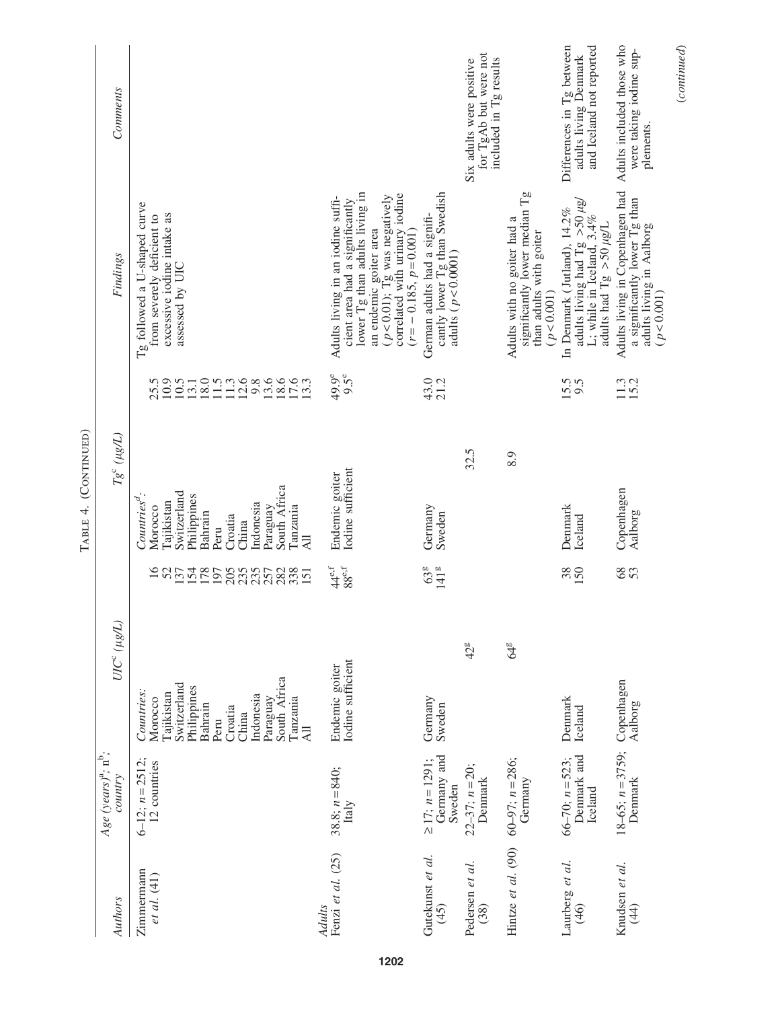|                             |                                                  |                                                                                                                                                                      |                                                                                             | (CONTINUED)<br>TABLE 4.                                                                                                                                                             |                                                                                                 |                                                                                                                                                                                                                                  |                                                                                |
|-----------------------------|--------------------------------------------------|----------------------------------------------------------------------------------------------------------------------------------------------------------------------|---------------------------------------------------------------------------------------------|-------------------------------------------------------------------------------------------------------------------------------------------------------------------------------------|-------------------------------------------------------------------------------------------------|----------------------------------------------------------------------------------------------------------------------------------------------------------------------------------------------------------------------------------|--------------------------------------------------------------------------------|
| Authors                     | $Age (years)^{a}$ ; $n^{b}$ ;<br>country         | $UIC^c(\mu g/L)$                                                                                                                                                     |                                                                                             | $Tg^c\ (\mu g/L)$                                                                                                                                                                   |                                                                                                 | Findings                                                                                                                                                                                                                         | Comments                                                                       |
| Zimmermann<br>et al. (41)   | 6-12; $n = 2512$ ;<br>12 countries               | South Africa<br>Switzerland<br>Philippines<br>Countries:<br>Tajikistan<br>Indonesia<br>Tanzania<br>Morocco<br>Paraguay<br>Bahrain<br>Croatia<br>China<br>Peru<br>AII | $\overline{16}$<br>52<br>137<br>154<br>178<br>235<br>282<br>205<br>338<br>197<br>257<br>151 | South Africa<br>Switzerland<br>$Countriesd$ :<br>Philippines<br>Tajikistan<br>Indonesia<br>Paraguay<br>Tanzania<br>Morocco<br>Bahrain<br>Croatia<br>China<br>Peru<br>$\overline{a}$ | 10.9<br>18.0<br>$12.6$<br>9.8<br>13.6<br>18.6<br>17.6<br>10.5<br>13.1<br>11.5<br>$11.3$<br>25.5 | Tg followed a U-shaped curve<br>excessive iodine intake as<br>from severely deficient to<br>assessed by UIC                                                                                                                      |                                                                                |
| Fenzi et al. (25)<br>Adults | 38.8; $n = 840$ ;<br>Italy                       | Iodine sufficient<br>Endemic goiter                                                                                                                                  | $88^{\mathrm{e,f}}$<br>$44^{\mathrm{e,f}}$                                                  | Iodine sufficient<br>Endemic goiter                                                                                                                                                 | $9.5^e$<br>49.9 <sup>e</sup>                                                                    | lower Tg than adults living in<br>an endemic goiter area<br>$(p<0.01)$ ; Tg was negatively<br>correlated with urinary iodine<br>Adults living in an iodine suffi-<br>cient area had a significantly<br>$(r = -0.185, p = 0.001)$ |                                                                                |
| Gutekunst et al.<br>(45)    | Germany and<br>$\geq$ 17; $n = 1291$ ;<br>Sweden | Germany<br>Sweden                                                                                                                                                    | 63 <sup>g</sup><br>141 <sup>g</sup>                                                         | Germany<br>Sweden                                                                                                                                                                   | 43.0<br>21.2                                                                                    | cantly lower Tg than Swedish<br>German adults had a signifi-<br>adults $(p < 0.0001)$                                                                                                                                            |                                                                                |
| Pedersen et al.<br>(38)     | $22-37$ ; $n = 20$ ;<br>Denmark                  | 42g                                                                                                                                                                  |                                                                                             | 32.5                                                                                                                                                                                |                                                                                                 |                                                                                                                                                                                                                                  | for TgAb but were not<br>included in Tg results<br>Six adults were positive    |
| Hintze et al. (90)          | $60-97$ ; $n = 286$ ;<br>Germany                 | 64g                                                                                                                                                                  |                                                                                             | 8.9                                                                                                                                                                                 |                                                                                                 | significantly lower median Tg<br>Adults with no goiter had a<br>than adults with goiter $(p<0.001)$                                                                                                                              |                                                                                |
| Laurberg et al.<br>(46)     | Denmark and<br>$66-70$ ; $n = 523$ ;<br>Iceland  | Denmark<br>Iceland                                                                                                                                                   | 38<br>150                                                                                   | Denmark<br>Iceland                                                                                                                                                                  | 15.5<br>9.5                                                                                     | adults living had Tg $>$ 50 $\mu$ g/<br>L; while in Iceland, 3.4%<br>In Denmark (Jutland), 14.2%<br>adults had Tg $>$ 50 $\mu$ g/L                                                                                               | Differences in Tg between<br>and Iceland not reported<br>adults living Denmark |
| Knudsen et al.<br>(44)      | $18-65$ ; $n = 3759$ ;<br>Denmark                | Copenhagen<br>Aalborg                                                                                                                                                | 68                                                                                          | Copenhagen<br>Aalborg                                                                                                                                                               | $\frac{113}{15.2}$                                                                              | Adults living in Copenhagen had<br>a significantly lower Tg than<br>adults living in Aalborg<br>(p < 0.001)                                                                                                                      | Adults included those who<br>were taking iodine sup-<br>plements.              |
|                             |                                                  |                                                                                                                                                                      |                                                                                             |                                                                                                                                                                                     |                                                                                                 |                                                                                                                                                                                                                                  | (continued)                                                                    |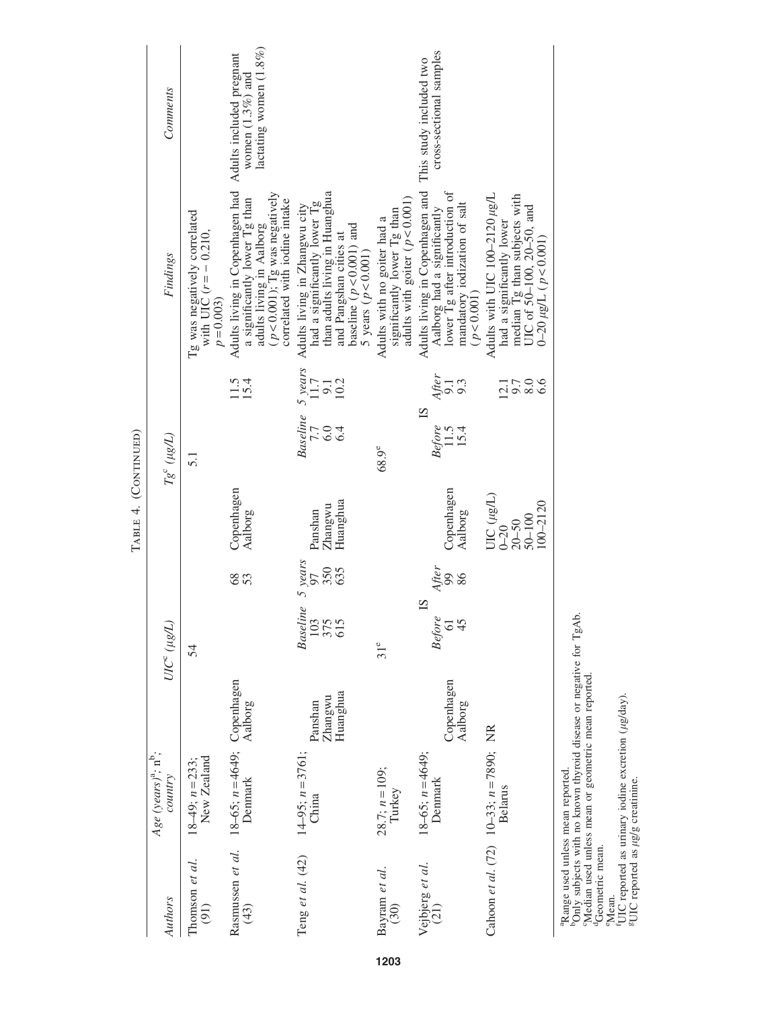| Authors                                       | Age (years) <sup>a</sup> ; $n^b$ ;<br>country                 |                                | $UIC^c~(\mu g/L)$                    |                       |                                                                           | $Tg^c(\mu g/L)$                                                                              |                                       | Findings                                                                                                                                                                                     | Comments                                           |
|-----------------------------------------------|---------------------------------------------------------------|--------------------------------|--------------------------------------|-----------------------|---------------------------------------------------------------------------|----------------------------------------------------------------------------------------------|---------------------------------------|----------------------------------------------------------------------------------------------------------------------------------------------------------------------------------------------|----------------------------------------------------|
| Thomson et al.<br>(91)                        | 18–49; $n = 233$ ;<br>New Zealand                             |                                | 54                                   |                       |                                                                           | $\overline{5}$ .                                                                             |                                       | Tg was negatively correlated<br>with UIC ( $r = -0.210$ ,<br>$p = 0.003$                                                                                                                     |                                                    |
| (43)                                          | Rasmussen et al. $18-65$ ; $n=4649$ ; Copenhagen<br>Denmark   | Aalborg                        |                                      | $\frac{8}{3}$<br>53   | Copenhagen<br>Aalborg                                                     |                                                                                              | $\frac{11.5}{15.4}$                   | Adults living in Copenhagen had Adults included pregnant<br>adults living in Aalborg<br>( $p < 0.001$ ); Tg was negatively<br>correlated with iodine intake<br>a significantly lower Tg than | lactating women (1.8%)<br>women $(1.3\%)$ and      |
| Teng et al. (42)                              | $14-95$ ; $n=3761$ ;<br>China                                 | Huanghua<br>Zhangwu<br>Panshan | <b>Baseline</b><br>103<br>375<br>615 | 5 years<br>350<br>635 | Huanghua<br>Zhangwu<br>Panshan                                            | Baseline 5 years<br>$\begin{array}{c}\n7.7 \\ 7.7 \\ 6.0 \\ 9.1 \\ 6.4\n\end{array}$<br>10.2 |                                       | than adults living in Huanghua<br>Adults living in Zhangwu city<br>had a significantly lower Tg<br>baseline $(p < 0.001)$ and<br>5 years ( $p < 0.001$ )<br>and Pangshan cities at           |                                                    |
| Bayram et al.<br>(30)                         | 28.7; $n = 109$ ;<br>Turkey                                   |                                | 31 <sup>e</sup>                      |                       |                                                                           | 68.9 <sup>e</sup>                                                                            |                                       | adults with goiter ( $p < 0.001$ )<br>significantly lower Tg than<br>Adults with no goiter had a                                                                                             |                                                    |
| Vejbjerg et al.<br>(21)                       | $18-65$ ; $n=4649$ ;<br>Denmark                               | Copenhagen<br>Aalborg          | $^{15}$<br><b>Before</b><br>61       | After<br>99<br>86     | Copenhagen<br>Aalborg                                                     | $^{1S}$<br>Before<br>11.5<br>15.4                                                            | $\frac{\text{After}}{9.1}$<br>9.3     | Adults living in Copenhagen and<br>lower Tg after introduction of<br>mandatory iodization of salt<br>Aalborg had a significantly<br>(p < 0.001)                                              | cross-sectional samples<br>This study included two |
|                                               | Cahoon et al. $(72)$ 10-33; $n = 7890$ ; NR<br><b>Belarus</b> |                                |                                      |                       | $UIC$ ( $\mu$ g/L)<br>$100 - 2120$<br>$50 - 100$<br>$20 - 50$<br>$0 - 20$ |                                                                                              | $\frac{0.8}{2.6}$<br>$\overline{2.1}$ | Adults with UIC 100-2120 µg/L<br>median Tg than subjects with<br>UIC of 50-100, 20-50, and<br>had a significantly lower<br>$(100.020 \mu g/L)$ ( $p < 0.001$ )                               |                                                    |
| <sup>a</sup> Range used unless mean reported. |                                                               |                                |                                      |                       |                                                                           |                                                                                              |                                       |                                                                                                                                                                                              |                                                    |

Table 4. (Continued)

TABLE 4. (CONTINUED)

bOnly subjects with no known thyroid disease or negative for TgAb.

b angle used unless mean reported.<br>
b angle used unless mean reported disease or negative for TgAb.<br>
(Median used unless mean or geometric mean reported.<br>
Geometric mean.<br>
Mean.<br>
Mean.<br>
FUIC reported as urinary iodine exc

Median used unless mean or geometric mean reported. d<sub>Geometric mean.</sub>

fUIC reported as urinary iodine excretion ( $\mu$ g/day). FUIC reported as  $\mu$ g/g creatinine.

1203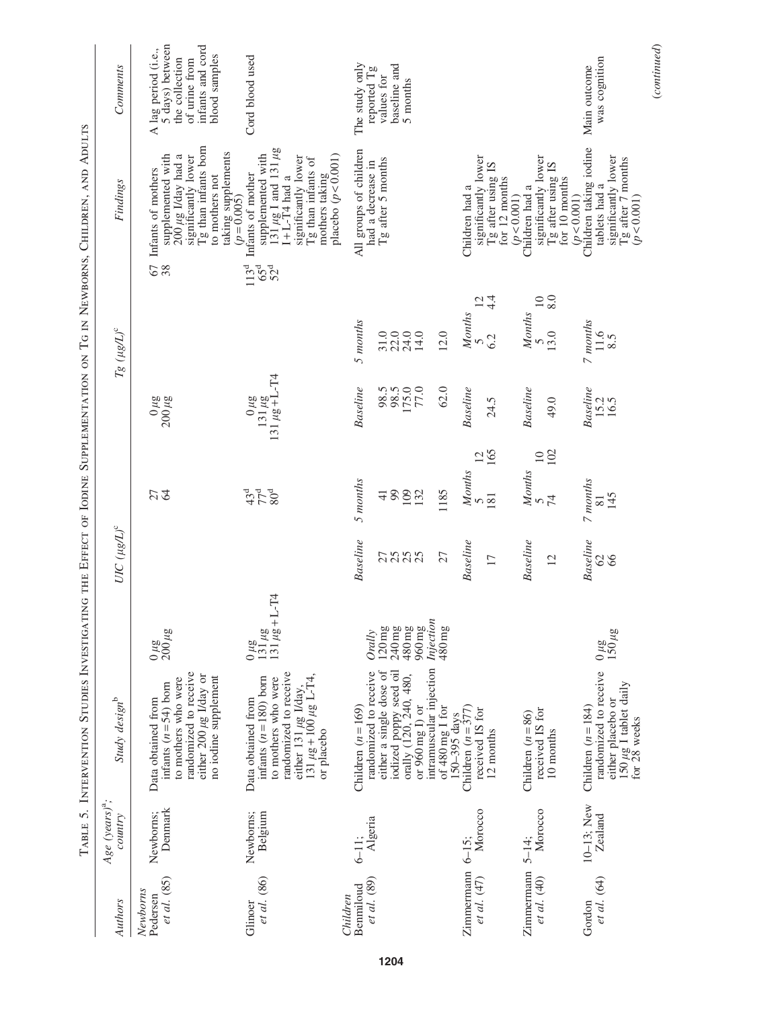|                                       |                                |                                                                                                                                                                                               | <b>SECRET HANDLESS</b>                                                                        |                                   |                                                                |                                                      |                                                         |                                                                                                                                                                                                                             |                                                                                                                |
|---------------------------------------|--------------------------------|-----------------------------------------------------------------------------------------------------------------------------------------------------------------------------------------------|-----------------------------------------------------------------------------------------------|-----------------------------------|----------------------------------------------------------------|------------------------------------------------------|---------------------------------------------------------|-----------------------------------------------------------------------------------------------------------------------------------------------------------------------------------------------------------------------------|----------------------------------------------------------------------------------------------------------------|
| Authors                               | Age $(years)^{a}$ ;<br>country | Study design <sup>b</sup>                                                                                                                                                                     |                                                                                               | UIC $(\mu g/L)^c$                 |                                                                |                                                      | $Tg~(\mu g/L)^{\rm c}$                                  | Findings                                                                                                                                                                                                                    | Comments                                                                                                       |
| et al. (85)<br>Newborns<br>Pedersen   | Denmark<br>Newborns;           | randomized to receive<br>either 200 µg I/day or<br>no iodine supplement<br>to mothers who were<br>infants $(n=54)$ born<br>Data obtained from                                                 | $\frac{0 \,\mu{\rm g}}{200 \,\mu{\rm g}}$                                                     |                                   | 27                                                             | $\frac{0 \,\mu g}{200 \,\mu g}$                      |                                                         | Tg than infants born<br>taking supplements<br>$(p=0.005)$<br>supplemented with<br>$200 \mu g$ I/day had a<br>significantly lower<br>67 Infants of mothers<br>38 supplemented w<br>to mothers not                            | A lag period (i.e.,<br>5 days) between<br>infants and cord<br>blood samples<br>the collection<br>of urine from |
| et al. (86)<br>Glinoer                | Belgium<br>Newborns;           | randomized to receive<br>131 $\mu$ g + 100 $\mu$ g L-T4,<br>infants $(n=180)$ born<br>to mothers who were<br>either 131 µg I/day,<br>Data obtained from<br>or placebo                         | $L-T4$<br>$\frac{0 \mu g}{131 \mu g}$<br>131 $\mu g$ +1                                       |                                   | 378                                                            | $\frac{0 \mu g}{131 \mu g + L - T4}$                 |                                                         | $131 \mu g$ I and 131 $\mu g$<br>I+L-T4 had a<br>supplemented with<br>placebo $(p < 0.001)$<br>significantly lower<br>Tg than infants of<br>Infants of mother<br>mothers taking<br>$113^{d}$<br>$65^{d}$<br>52 <sup>d</sup> | Cord blood used                                                                                                |
| et al. (89)<br>Benmiloud<br>Children  | 6-11;<br>Algeria               | intramuscular injection<br>iodized poppy seed oil<br>orally (120, 240, 480,<br>either a single dose of<br>randomized to receive<br>or 960 mg I) or<br>Children $(n = 169)$<br>of 480 mg I for | Injection<br>960 mg<br>480 mg<br>$240\,\mathrm{mg}$<br>$120\,\mathrm{mg}$<br>480 mg<br>Orally | <b>Baseline</b><br>2588<br>27     | 5 months<br>1185<br>109<br>99<br>132<br>$\frac{1}{4}$          | <b>Baseline</b><br>$175.0$<br>$77.0$<br>62.0<br>98.5 | 5 months<br>12.0<br>$\frac{31.0}{22.0}$<br>24.0<br>14.0 | All groups of children<br>Tg after 5 months<br>had a decrease in                                                                                                                                                            | The study only<br>baseline and<br>reported $Tg$<br>values for<br>5 months                                      |
| $Z$ immermann $6-15$ ;<br>et al. (47) | Morocco                        | Children $(n=377)$<br>received IS for<br>150-395 days<br>12 months                                                                                                                            |                                                                                               | Baseline<br>$\overline{17}$       | 165<br>$\overline{c}$<br>Months<br>181                         | Baseline<br>24.5                                     | 4.4<br>12<br>Months<br>6.2<br>$\overline{S}$            | significantly lower<br>Tg after using IS<br>for 12 months<br>Children had a                                                                                                                                                 |                                                                                                                |
| Zimmermann<br>et al. (40)             | Morocco<br>$5 - 14$ ;          | received IS for<br>Children $(n = 86)$<br>10 months                                                                                                                                           |                                                                                               | <b>Baseline</b><br>$\overline{2}$ | 102<br>$\overline{10}$<br>Months<br>$\overline{7}$<br>$\Omega$ | Baseline<br>49.0                                     | 8.0<br>$\overline{10}$<br>Months<br>13.0                | significantly lower<br>Tg after using IS<br>for 10 months<br>Children had a<br>(p < 0.001)                                                                                                                                  |                                                                                                                |
| et al. (64)<br>Gordon                 | $10-13$ ; New<br>Zealand       | randomized to receive<br>$150 \mu g$ I tablet daily<br>for 28 weeks<br>either placebo or<br>Children $(n=184)$                                                                                | $\frac{0 \mu g}{150 \mu g}$                                                                   | <b>Baseline</b><br>66<br>$\infty$ | 7 months<br>145<br>81                                          | <b>Baseline</b><br>15.2<br>16.5                      | 7 months<br>11.6<br>8.5                                 | Children taking iodine<br>significantly lower<br>Tg after 7 months<br>$(p < 0.001)$<br>tablets had a<br>(p < 0.001)                                                                                                         | was cognition<br>Main outcome                                                                                  |

# $\label{eq:constrained} (continued)$ (*continued*)

TABLE 5. INTERVENTION STUDIES INVESTIGATING THE EFFECT OF IODINE SUPPLEMENTATION ON TG IN NEWBORNS, CHILDREN, AND ADULTS Table 5. Intervention Studies Investigating the Effect of Iodine Supplementation on Tg in Newborns, Children, and Adults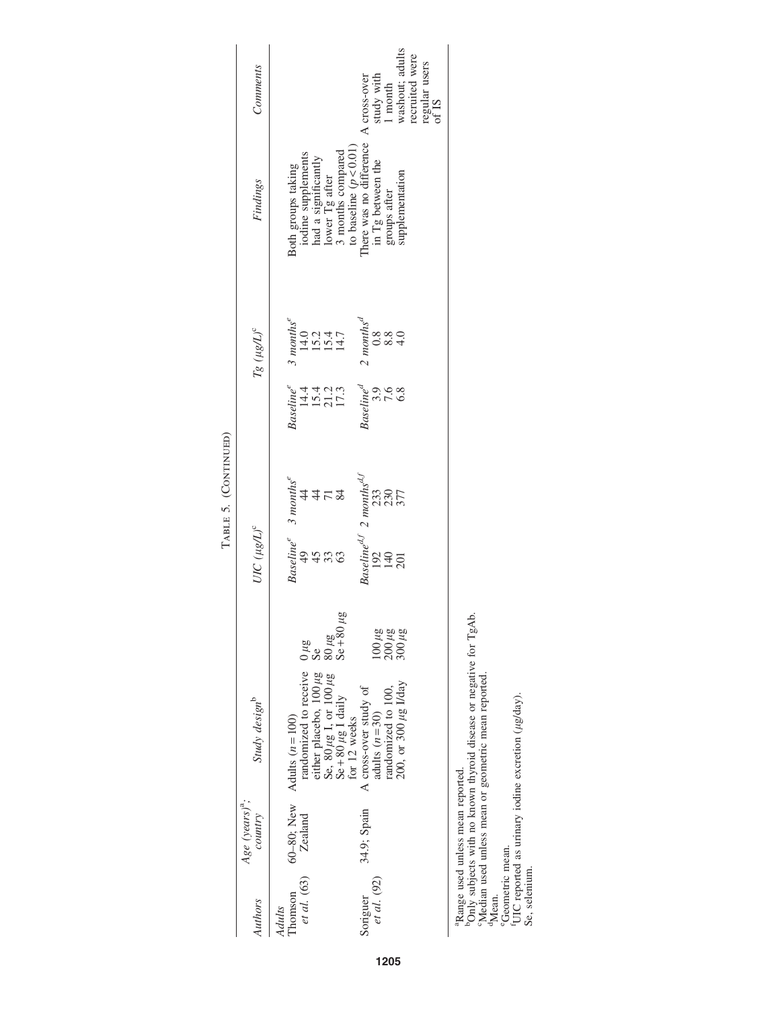|   | Comments                         | washout; adults<br>recruited were<br>regular users<br>of IS<br>$% \left\{ \left( \lambda_{1},\lambda_{2},\lambda_{2},\lambda_{3},\lambda_{4},\lambda_{5},\lambda_{6},\lambda_{7},\lambda_{8},\lambda_{9},\lambda_{1},\lambda_{1},\lambda_{2},\lambda_{1},\lambda_{2},\lambda_{1},\lambda_{2},\lambda_{1},\lambda_{2},\lambda_{1},\lambda_{2},\lambda_{2},\lambda_{3},\lambda_{1},\lambda_{2},\lambda_{1},\lambda_{2},\lambda_{1},\lambda_{2},\lambda_{1},\lambda_{2},\lambda_{2},\lambda_{1},\lambda_{2},\lambda_{2},\lambda_{3},\lambda_{1},\lambda_{2},\lambda_{1},\lambda_{2},\lambda_{1},\lambda_{2},\lambda$ |
|---|----------------------------------|-------------------------------------------------------------------------------------------------------------------------------------------------------------------------------------------------------------------------------------------------------------------------------------------------------------------------------------------------------------------------------------------------------------------------------------------------------------------------------------------------------------------------------------------------------------------------------------------------------------------|
|   | Findings                         | There was no difference A cross-over<br>in Tg between the study with<br>3 months compared<br>to baseline $(p < 0.01)$<br>iodine supplements<br>had a significantly<br>lower Tg after<br>Both groups taking<br>supplementation<br>groups after                                                                                                                                                                                                                                                                                                                                                                     |
|   | $Tg~(\mu g/L)^c$                 | 3 months <sup>e</sup><br>14.0<br>15.2<br>15.4,7<br>14.7<br>$\frac{2 \text{ months}^d}{0.8}$<br>8.8<br>4.0                                                                                                                                                                                                                                                                                                                                                                                                                                                                                                         |
| Ì |                                  | Baseline<br>14.4<br>15.4<br>17.3<br>$\begin{array}{cc}\n\textit{Baseline}^d & \textit{.} \\ 3.9 & \textit{.} \n\end{array}$<br>7.8                                                                                                                                                                                                                                                                                                                                                                                                                                                                                |
|   |                                  | $\begin{array}{c} \mathit{Baseline}^{d,f} \ 2 \  \, \mathit{months}^{d,f} \\ 192 \end{array}$<br>Baseline <sup>e</sup> 3 months <sup>e</sup><br>4452<br>330<br>2307<br>377                                                                                                                                                                                                                                                                                                                                                                                                                                        |
|   | $UIC$ $(\mu g/L)^c$              | 9533<br>953<br>140<br>201                                                                                                                                                                                                                                                                                                                                                                                                                                                                                                                                                                                         |
|   |                                  | $\frac{3\mu}{80}$<br>$\frac{80\mu}{48}$<br>$\frac{48}{80}$<br>$\frac{48}{80}$<br>500 KB<br>500 KB<br>100 KB                                                                                                                                                                                                                                                                                                                                                                                                                                                                                                       |
|   | Study design <sup>b</sup>        | randomized to receive<br>either placebo, $100 \mu$ g<br>Se, $80 \mu$ g I, or $100 \mu$ g<br>Se + $80 \mu$ g I daily<br>randomized to 100,<br>200, or 300 µg I/day<br>A cross-over study of adults $(n=30)$<br>Adults $(n = 100)$<br>for 12 weeks                                                                                                                                                                                                                                                                                                                                                                  |
|   | Age $(years)^{a}$ ;<br>$country$ | 60-80; New<br>34.9; Spain<br>Zealand                                                                                                                                                                                                                                                                                                                                                                                                                                                                                                                                                                              |
|   | Authors                          | et al. (63)<br>Soriguer<br>$et$ al. $(92)$<br>homson<br>Adults                                                                                                                                                                                                                                                                                                                                                                                                                                                                                                                                                    |

TABLE 5. (CONTINUED) Table 5. (Continued)

aRange used unless mean reported.

bOnly subjects with no known thyroid disease or negative for TgAb. <sup>3</sup>Range used unless mean reported.<br>
<sup>3</sup>Only subjects with no known thyroid disease or negative for TgAb.<br>
<sup>5</sup>Median used unless mean or geometric mean reported.<br>
<sup>4</sup>Mean.<br>
<sup>6</sup>Geometric mean.<br>
<sup>1</sup>UIC reported as urinary i

Median used unless mean or geometric mean reported.

eGeometric mean.

f UIC reported as urinary iodine excretion  $(\mu g / day)$ . Se, selenium.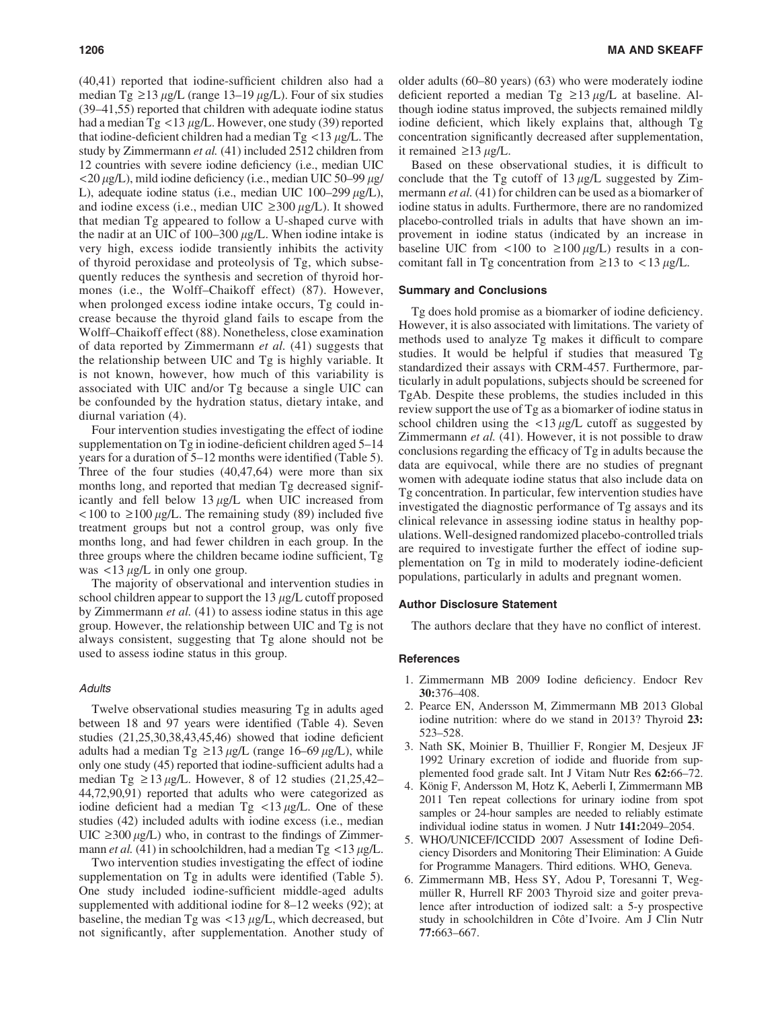(40,41) reported that iodine-sufficient children also had a median Tg  $\geq$ 13  $\mu$ g/L (range 13–19  $\mu$ g/L). Four of six studies (39–41,55) reported that children with adequate iodine status had a median Tg <13  $\mu$ g/L. However, one study (39) reported that iodine-deficient children had a median  $Tg < 13 \mu g/L$ . The study by Zimmermann *et al.* (41) included 2512 children from 12 countries with severe iodine deficiency (i.e., median UIC  $\langle 20 \mu g/L \rangle$ , mild iodine deficiency (i.e., median UIC 50–99  $\mu g/L$ ) L), adequate iodine status (i.e., median UIC  $100-299 \mu g/L$ ), and iodine excess (i.e., median UIC  $\geq 300 \mu g/L$ ). It showed that median Tg appeared to follow a U-shaped curve with the nadir at an UIC of 100–300  $\mu$ g/L. When iodine intake is very high, excess iodide transiently inhibits the activity of thyroid peroxidase and proteolysis of Tg, which subsequently reduces the synthesis and secretion of thyroid hormones (i.e., the Wolff–Chaikoff effect) (87). However, when prolonged excess iodine intake occurs, Tg could increase because the thyroid gland fails to escape from the Wolff–Chaikoff effect (88). Nonetheless, close examination of data reported by Zimmermann *et al.* (41) suggests that the relationship between UIC and Tg is highly variable. It is not known, however, how much of this variability is associated with UIC and/or Tg because a single UIC can be confounded by the hydration status, dietary intake, and diurnal variation (4).

Four intervention studies investigating the effect of iodine supplementation on Tg in iodine-deficient children aged 5–14 years for a duration of 5–12 months were identified (Table 5). Three of the four studies (40,47,64) were more than six months long, and reported that median Tg decreased significantly and fell below  $13 \mu g/L$  when UIC increased from  $\langle 100 \text{ to } \ge 100 \mu g/L$ . The remaining study (89) included five treatment groups but not a control group, was only five months long, and had fewer children in each group. In the three groups where the children became iodine sufficient, Tg was  $\langle 13 \mu g/L \rangle$  in only one group.

The majority of observational and intervention studies in school children appear to support the  $13 \mu g/L$  cutoff proposed by Zimmermann *et al.* (41) to assess iodine status in this age group. However, the relationship between UIC and Tg is not always consistent, suggesting that Tg alone should not be used to assess iodine status in this group.

#### **Adults**

Twelve observational studies measuring Tg in adults aged between 18 and 97 years were identified (Table 4). Seven studies (21,25,30,38,43,45,46) showed that iodine deficient adults had a median Tg  $\geq$ 13 µg/L (range 16–69 µg/L), while only one study (45) reported that iodine-sufficient adults had a median Tg  $\geq$  13 µg/L. However, 8 of 12 studies (21,25,42– 44,72,90,91) reported that adults who were categorized as iodine deficient had a median  $Tg \leq 13 \mu g/L$ . One of these studies (42) included adults with iodine excess (i.e., median  $UIC \geq 300 \mu g/L$ ) who, in contrast to the findings of Zimmermann *et al.* (41) in schoolchildren, had a median  $Tg < 13 \mu g/L$ .

Two intervention studies investigating the effect of iodine supplementation on Tg in adults were identified (Table 5). One study included iodine-sufficient middle-aged adults supplemented with additional iodine for 8–12 weeks (92); at baseline, the median Tg was  $\langle 13 \mu g/L \rangle$ , which decreased, but not significantly, after supplementation. Another study of older adults (60–80 years) (63) who were moderately iodine deficient reported a median Tg  $\geq$ 13 µg/L at baseline. Although iodine status improved, the subjects remained mildly iodine deficient, which likely explains that, although Tg concentration significantly decreased after supplementation, it remained  $\geq$ 13  $\mu$ g/L.

Based on these observational studies, it is difficult to conclude that the Tg cutoff of  $13 \mu g/L$  suggested by Zimmermann *et al.* (41) for children can be used as a biomarker of iodine status in adults. Furthermore, there are no randomized placebo-controlled trials in adults that have shown an improvement in iodine status (indicated by an increase in baseline UIC from <100 to  $\geq$ 100  $\mu$ g/L) results in a concomitant fall in Tg concentration from  $\geq$ 13 to < 13  $\mu$ g/L.

#### Summary and Conclusions

Tg does hold promise as a biomarker of iodine deficiency. However, it is also associated with limitations. The variety of methods used to analyze Tg makes it difficult to compare studies. It would be helpful if studies that measured Tg standardized their assays with CRM-457. Furthermore, particularly in adult populations, subjects should be screened for TgAb. Despite these problems, the studies included in this review support the use of Tg as a biomarker of iodine status in school children using the  $\langle 13 \mu g/L \rangle$  cutoff as suggested by Zimmermann *et al.* (41). However, it is not possible to draw conclusions regarding the efficacy of Tg in adults because the data are equivocal, while there are no studies of pregnant women with adequate iodine status that also include data on Tg concentration. In particular, few intervention studies have investigated the diagnostic performance of Tg assays and its clinical relevance in assessing iodine status in healthy populations. Well-designed randomized placebo-controlled trials are required to investigate further the effect of iodine supplementation on Tg in mild to moderately iodine-deficient populations, particularly in adults and pregnant women.

#### Author Disclosure Statement

The authors declare that they have no conflict of interest.

#### **References**

- 1. Zimmermann MB 2009 Iodine deficiency. Endocr Rev 30:376–408.
- 2. Pearce EN, Andersson M, Zimmermann MB 2013 Global iodine nutrition: where do we stand in 2013? Thyroid 23: 523–528.
- 3. Nath SK, Moinier B, Thuillier F, Rongier M, Desjeux JF 1992 Urinary excretion of iodide and fluoride from supplemented food grade salt. Int J Vitam Nutr Res 62:66–72.
- 4. König F, Andersson M, Hotz K, Aeberli I, Zimmermann MB 2011 Ten repeat collections for urinary iodine from spot samples or 24-hour samples are needed to reliably estimate individual iodine status in women. J Nutr 141:2049–2054.
- 5. WHO/UNICEF/ICCIDD 2007 Assessment of Iodine Deficiency Disorders and Monitoring Their Elimination: A Guide for Programme Managers. Third editions. WHO, Geneva.
- 6. Zimmermann MB, Hess SY, Adou P, Toresanni T, Wegmüller R, Hurrell RF 2003 Thyroid size and goiter prevalence after introduction of iodized salt: a 5-y prospective study in schoolchildren in Côte d'Ivoire. Am J Clin Nutr 77:663–667.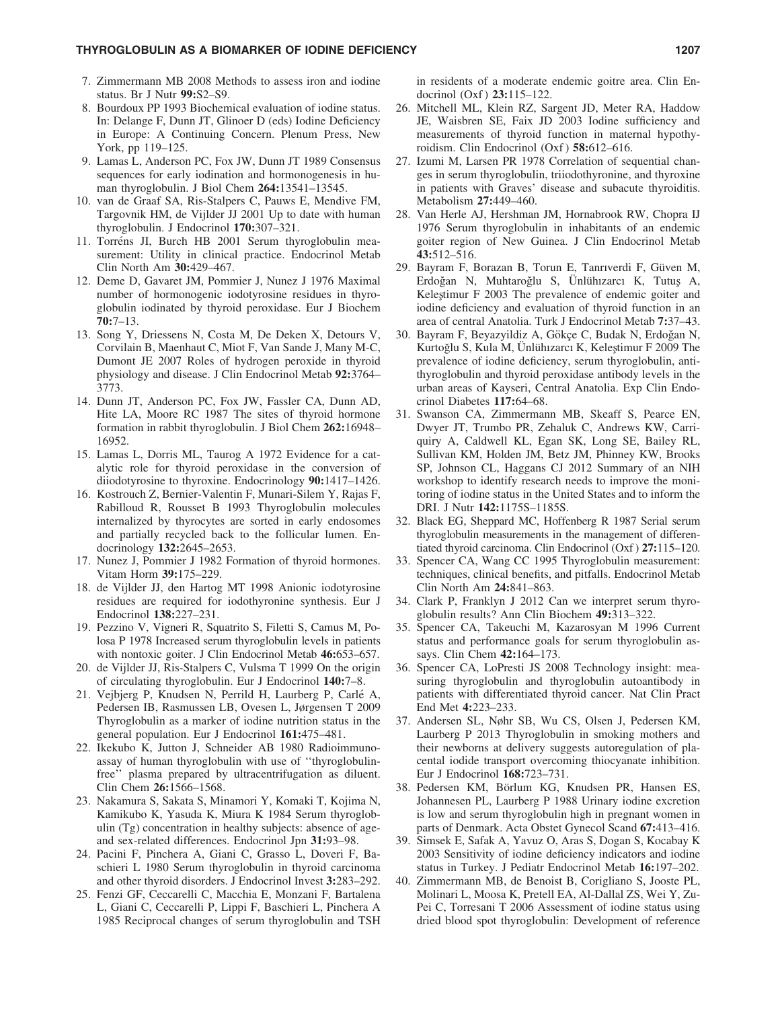- 7. Zimmermann MB 2008 Methods to assess iron and iodine status. Br J Nutr 99:S2–S9.
- 8. Bourdoux PP 1993 Biochemical evaluation of iodine status. In: Delange F, Dunn JT, Glinoer D (eds) Iodine Deficiency in Europe: A Continuing Concern. Plenum Press, New York, pp 119–125.
- 9. Lamas L, Anderson PC, Fox JW, Dunn JT 1989 Consensus sequences for early iodination and hormonogenesis in human thyroglobulin. J Biol Chem 264:13541–13545.
- 10. van de Graaf SA, Ris-Stalpers C, Pauws E, Mendive FM, Targovnik HM, de Vijlder JJ 2001 Up to date with human thyroglobulin. J Endocrinol 170:307–321.
- 11. Torréns JI, Burch HB 2001 Serum thyroglobulin measurement: Utility in clinical practice. Endocrinol Metab Clin North Am 30:429–467.
- 12. Deme D, Gavaret JM, Pommier J, Nunez J 1976 Maximal number of hormonogenic iodotyrosine residues in thyroglobulin iodinated by thyroid peroxidase. Eur J Biochem 70:7–13.
- 13. Song Y, Driessens N, Costa M, De Deken X, Detours V, Corvilain B, Maenhaut C, Miot F, Van Sande J, Many M-C, Dumont JE 2007 Roles of hydrogen peroxide in thyroid physiology and disease. J Clin Endocrinol Metab 92:3764– 3773.
- 14. Dunn JT, Anderson PC, Fox JW, Fassler CA, Dunn AD, Hite LA, Moore RC 1987 The sites of thyroid hormone formation in rabbit thyroglobulin. J Biol Chem 262:16948– 16952.
- 15. Lamas L, Dorris ML, Taurog A 1972 Evidence for a catalytic role for thyroid peroxidase in the conversion of diiodotyrosine to thyroxine. Endocrinology 90:1417–1426.
- 16. Kostrouch Z, Bernier-Valentin F, Munari-Silem Y, Rajas F, Rabilloud R, Rousset B 1993 Thyroglobulin molecules internalized by thyrocytes are sorted in early endosomes and partially recycled back to the follicular lumen. Endocrinology 132:2645–2653.
- 17. Nunez J, Pommier J 1982 Formation of thyroid hormones. Vitam Horm 39:175–229.
- 18. de Vijlder JJ, den Hartog MT 1998 Anionic iodotyrosine residues are required for iodothyronine synthesis. Eur J Endocrinol 138:227–231.
- 19. Pezzino V, Vigneri R, Squatrito S, Filetti S, Camus M, Polosa P 1978 Increased serum thyroglobulin levels in patients with nontoxic goiter. J Clin Endocrinol Metab 46:653–657.
- 20. de Vijlder JJ, Ris-Stalpers C, Vulsma T 1999 On the origin of circulating thyroglobulin. Eur J Endocrinol 140:7–8.
- 21. Vejbjerg P, Knudsen N, Perrild H, Laurberg P, Carle´ A, Pedersen IB, Rasmussen LB, Ovesen L, Jørgensen T 2009 Thyroglobulin as a marker of iodine nutrition status in the general population. Eur J Endocrinol 161:475–481.
- 22. Ikekubo K, Jutton J, Schneider AB 1980 Radioimmunoassay of human thyroglobulin with use of ''thyroglobulinfree'' plasma prepared by ultracentrifugation as diluent. Clin Chem 26:1566–1568.
- 23. Nakamura S, Sakata S, Minamori Y, Komaki T, Kojima N, Kamikubo K, Yasuda K, Miura K 1984 Serum thyroglobulin (Tg) concentration in healthy subjects: absence of ageand sex-related differences. Endocrinol Jpn 31:93–98.
- 24. Pacini F, Pinchera A, Giani C, Grasso L, Doveri F, Baschieri L 1980 Serum thyroglobulin in thyroid carcinoma and other thyroid disorders. J Endocrinol Invest 3:283–292.
- 25. Fenzi GF, Ceccarelli C, Macchia E, Monzani F, Bartalena L, Giani C, Ceccarelli P, Lippi F, Baschieri L, Pinchera A 1985 Reciprocal changes of serum thyroglobulin and TSH

in residents of a moderate endemic goitre area. Clin Endocrinol (Oxf) 23:115-122.

- 26. Mitchell ML, Klein RZ, Sargent JD, Meter RA, Haddow JE, Waisbren SE, Faix JD 2003 Iodine sufficiency and measurements of thyroid function in maternal hypothyroidism. Clin Endocrinol (Oxf) 58:612-616.
- 27. Izumi M, Larsen PR 1978 Correlation of sequential changes in serum thyroglobulin, triiodothyronine, and thyroxine in patients with Graves' disease and subacute thyroiditis. Metabolism 27:449–460.
- 28. Van Herle AJ, Hershman JM, Hornabrook RW, Chopra IJ 1976 Serum thyroglobulin in inhabitants of an endemic goiter region of New Guinea. J Clin Endocrinol Metab 43:512–516.
- 29. Bayram F, Borazan B, Torun E, Tanrıverdi F, Güven M, Erdoğan N, Muhtaroğlu S, Ünlühızarcı K, Tutuş A, Kelestimur F 2003 The prevalence of endemic goiter and iodine deficiency and evaluation of thyroid function in an area of central Anatolia. Turk J Endocrinol Metab 7:37–43.
- 30. Bayram F, Beyazyildiz A, Gökçe C, Budak N, Erdoğan N, Kurtoğlu S, Kula M, Ünlühizarcı K, Keleştimur F 2009 The prevalence of iodine deficiency, serum thyroglobulin, antithyroglobulin and thyroid peroxidase antibody levels in the urban areas of Kayseri, Central Anatolia. Exp Clin Endocrinol Diabetes 117:64–68.
- 31. Swanson CA, Zimmermann MB, Skeaff S, Pearce EN, Dwyer JT, Trumbo PR, Zehaluk C, Andrews KW, Carriquiry A, Caldwell KL, Egan SK, Long SE, Bailey RL, Sullivan KM, Holden JM, Betz JM, Phinney KW, Brooks SP, Johnson CL, Haggans CJ 2012 Summary of an NIH workshop to identify research needs to improve the monitoring of iodine status in the United States and to inform the DRI. J Nutr 142:1175S–1185S.
- 32. Black EG, Sheppard MC, Hoffenberg R 1987 Serial serum thyroglobulin measurements in the management of differentiated thyroid carcinoma. Clin Endocrinol (Oxf ) 27:115–120.
- 33. Spencer CA, Wang CC 1995 Thyroglobulin measurement: techniques, clinical benefits, and pitfalls. Endocrinol Metab Clin North Am 24:841–863.
- 34. Clark P, Franklyn J 2012 Can we interpret serum thyroglobulin results? Ann Clin Biochem 49:313–322.
- 35. Spencer CA, Takeuchi M, Kazarosyan M 1996 Current status and performance goals for serum thyroglobulin assays. Clin Chem 42:164–173.
- 36. Spencer CA, LoPresti JS 2008 Technology insight: measuring thyroglobulin and thyroglobulin autoantibody in patients with differentiated thyroid cancer. Nat Clin Pract End Met 4:223–233.
- 37. Andersen SL, Nøhr SB, Wu CS, Olsen J, Pedersen KM, Laurberg P 2013 Thyroglobulin in smoking mothers and their newborns at delivery suggests autoregulation of placental iodide transport overcoming thiocyanate inhibition. Eur J Endocrinol 168:723–731.
- 38. Pedersen KM, Börlum KG, Knudsen PR, Hansen ES, Johannesen PL, Laurberg P 1988 Urinary iodine excretion is low and serum thyroglobulin high in pregnant women in parts of Denmark. Acta Obstet Gynecol Scand 67:413–416.
- 39. Simsek E, Safak A, Yavuz O, Aras S, Dogan S, Kocabay K 2003 Sensitivity of iodine deficiency indicators and iodine status in Turkey. J Pediatr Endocrinol Metab 16:197–202.
- 40. Zimmermann MB, de Benoist B, Corigliano S, Jooste PL, Molinari L, Moosa K, Pretell EA, Al-Dallal ZS, Wei Y, Zu-Pei C, Torresani T 2006 Assessment of iodine status using dried blood spot thyroglobulin: Development of reference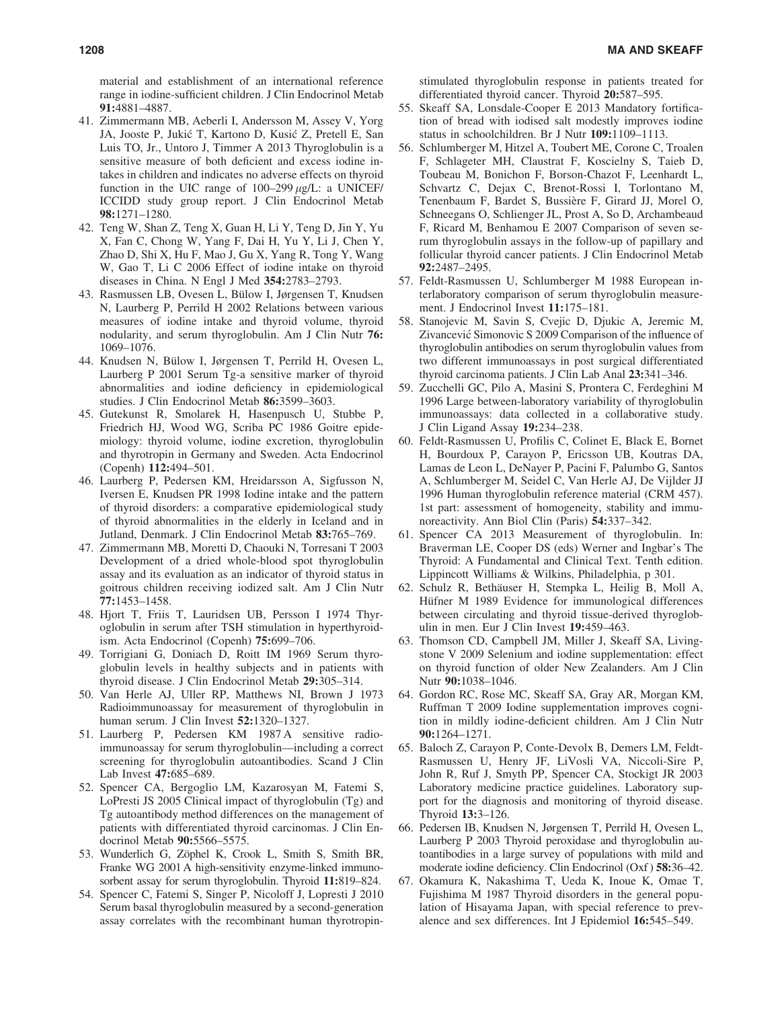material and establishment of an international reference range in iodine-sufficient children. J Clin Endocrinol Metab 91:4881–4887.

- 41. Zimmermann MB, Aeberli I, Andersson M, Assey V, Yorg JA, Jooste P, Jukić T, Kartono D, Kusić Z, Pretell E, San Luis TO, Jr., Untoro J, Timmer A 2013 Thyroglobulin is a sensitive measure of both deficient and excess iodine intakes in children and indicates no adverse effects on thyroid function in the UIC range of  $100-299 \mu g/L$ : a UNICEF/ ICCIDD study group report. J Clin Endocrinol Metab 98:1271–1280.
- 42. Teng W, Shan Z, Teng X, Guan H, Li Y, Teng D, Jin Y, Yu X, Fan C, Chong W, Yang F, Dai H, Yu Y, Li J, Chen Y, Zhao D, Shi X, Hu F, Mao J, Gu X, Yang R, Tong Y, Wang W, Gao T, Li C 2006 Effect of iodine intake on thyroid diseases in China. N Engl J Med 354:2783–2793.
- 43. Rasmussen LB, Ovesen L, Bülow I, Jørgensen T, Knudsen N, Laurberg P, Perrild H 2002 Relations between various measures of iodine intake and thyroid volume, thyroid nodularity, and serum thyroglobulin. Am J Clin Nutr 76: 1069–1076.
- 44. Knudsen N, Bülow I, Jørgensen T, Perrild H, Ovesen L, Laurberg P 2001 Serum Tg-a sensitive marker of thyroid abnormalities and iodine deficiency in epidemiological studies. J Clin Endocrinol Metab 86:3599–3603.
- 45. Gutekunst R, Smolarek H, Hasenpusch U, Stubbe P, Friedrich HJ, Wood WG, Scriba PC 1986 Goitre epidemiology: thyroid volume, iodine excretion, thyroglobulin and thyrotropin in Germany and Sweden. Acta Endocrinol (Copenh) 112:494–501.
- 46. Laurberg P, Pedersen KM, Hreidarsson A, Sigfusson N, Iversen E, Knudsen PR 1998 Iodine intake and the pattern of thyroid disorders: a comparative epidemiological study of thyroid abnormalities in the elderly in Iceland and in Jutland, Denmark. J Clin Endocrinol Metab 83:765–769.
- 47. Zimmermann MB, Moretti D, Chaouki N, Torresani T 2003 Development of a dried whole-blood spot thyroglobulin assay and its evaluation as an indicator of thyroid status in goitrous children receiving iodized salt. Am J Clin Nutr 77:1453–1458.
- 48. Hjort T, Friis T, Lauridsen UB, Persson I 1974 Thyroglobulin in serum after TSH stimulation in hyperthyroidism. Acta Endocrinol (Copenh) 75:699–706.
- 49. Torrigiani G, Doniach D, Roitt IM 1969 Serum thyroglobulin levels in healthy subjects and in patients with thyroid disease. J Clin Endocrinol Metab 29:305–314.
- 50. Van Herle AJ, Uller RP, Matthews NI, Brown J 1973 Radioimmunoassay for measurement of thyroglobulin in human serum. J Clin Invest 52:1320–1327.
- 51. Laurberg P, Pedersen KM 1987 A sensitive radioimmunoassay for serum thyroglobulin—including a correct screening for thyroglobulin autoantibodies. Scand J Clin Lab Invest 47:685–689.
- 52. Spencer CA, Bergoglio LM, Kazarosyan M, Fatemi S, LoPresti JS 2005 Clinical impact of thyroglobulin (Tg) and Tg autoantibody method differences on the management of patients with differentiated thyroid carcinomas. J Clin Endocrinol Metab 90:5566–5575.
- 53. Wunderlich G, Zöphel K, Crook L, Smith S, Smith BR, Franke WG 2001 A high-sensitivity enzyme-linked immunosorbent assay for serum thyroglobulin. Thyroid 11:819–824.
- 54. Spencer C, Fatemi S, Singer P, Nicoloff J, Lopresti J 2010 Serum basal thyroglobulin measured by a second-generation assay correlates with the recombinant human thyrotropin-

stimulated thyroglobulin response in patients treated for differentiated thyroid cancer. Thyroid 20:587–595.

- 55. Skeaff SA, Lonsdale-Cooper E 2013 Mandatory fortification of bread with iodised salt modestly improves iodine status in schoolchildren. Br J Nutr 109:1109–1113.
- 56. Schlumberger M, Hitzel A, Toubert ME, Corone C, Troalen F, Schlageter MH, Claustrat F, Koscielny S, Taieb D, Toubeau M, Bonichon F, Borson-Chazot F, Leenhardt L, Schvartz C, Dejax C, Brenot-Rossi I, Torlontano M, Tenenbaum F, Bardet S, Bussière F, Girard JJ, Morel O, Schneegans O, Schlienger JL, Prost A, So D, Archambeaud F, Ricard M, Benhamou E 2007 Comparison of seven serum thyroglobulin assays in the follow-up of papillary and follicular thyroid cancer patients. J Clin Endocrinol Metab 92:2487–2495.
- 57. Feldt-Rasmussen U, Schlumberger M 1988 European interlaboratory comparison of serum thyroglobulin measurement. J Endocrinol Invest 11:175–181.
- 58. Stanojevic M, Savin S, Cvejic D, Djukic A, Jeremic M, Zivancević Simonovic S 2009 Comparison of the influence of thyroglobulin antibodies on serum thyroglobulin values from two different immunoassays in post surgical differentiated thyroid carcinoma patients. J Clin Lab Anal 23:341–346.
- 59. Zucchelli GC, Pilo A, Masini S, Prontera C, Ferdeghini M 1996 Large between-laboratory variability of thyroglobulin immunoassays: data collected in a collaborative study. J Clin Ligand Assay 19:234–238.
- 60. Feldt-Rasmussen U, Profilis C, Colinet E, Black E, Bornet H, Bourdoux P, Carayon P, Ericsson UB, Koutras DA, Lamas de Leon L, DeNayer P, Pacini F, Palumbo G, Santos A, Schlumberger M, Seidel C, Van Herle AJ, De Vijlder JJ 1996 Human thyroglobulin reference material (CRM 457). 1st part: assessment of homogeneity, stability and immunoreactivity. Ann Biol Clin (Paris) 54:337–342.
- 61. Spencer CA 2013 Measurement of thyroglobulin. In: Braverman LE, Cooper DS (eds) Werner and Ingbar's The Thyroid: A Fundamental and Clinical Text. Tenth edition. Lippincott Williams & Wilkins, Philadelphia, p 301.
- 62. Schulz R, Bethäuser H, Stempka L, Heilig B, Moll A, Hüfner M 1989 Evidence for immunological differences between circulating and thyroid tissue-derived thyroglobulin in men. Eur J Clin Invest 19:459–463.
- 63. Thomson CD, Campbell JM, Miller J, Skeaff SA, Livingstone V 2009 Selenium and iodine supplementation: effect on thyroid function of older New Zealanders. Am J Clin Nutr 90:1038–1046.
- 64. Gordon RC, Rose MC, Skeaff SA, Gray AR, Morgan KM, Ruffman T 2009 Iodine supplementation improves cognition in mildly iodine-deficient children. Am J Clin Nutr 90:1264–1271.
- 65. Baloch Z, Carayon P, Conte-Devolx B, Demers LM, Feldt-Rasmussen U, Henry JF, LiVosli VA, Niccoli-Sire P, John R, Ruf J, Smyth PP, Spencer CA, Stockigt JR 2003 Laboratory medicine practice guidelines. Laboratory support for the diagnosis and monitoring of thyroid disease. Thyroid 13:3–126.
- 66. Pedersen IB, Knudsen N, Jørgensen T, Perrild H, Ovesen L, Laurberg P 2003 Thyroid peroxidase and thyroglobulin autoantibodies in a large survey of populations with mild and moderate iodine deficiency. Clin Endocrinol (Oxf ) 58:36–42.
- 67. Okamura K, Nakashima T, Ueda K, Inoue K, Omae T, Fujishima M 1987 Thyroid disorders in the general population of Hisayama Japan, with special reference to prevalence and sex differences. Int J Epidemiol 16:545–549.